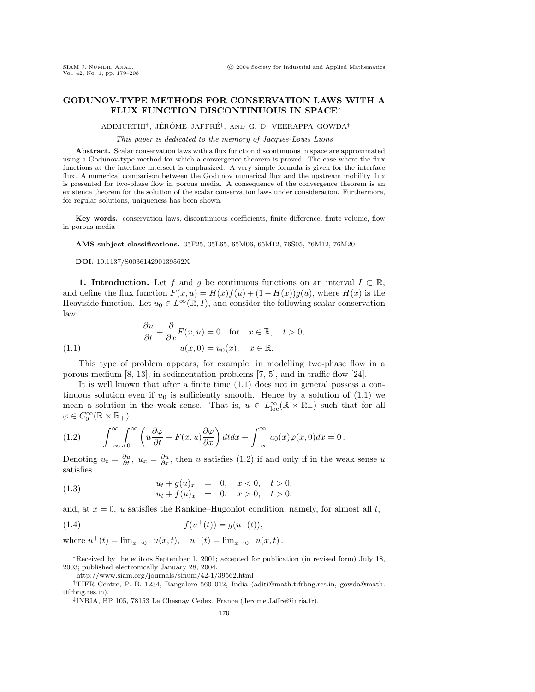## **GODUNOV-TYPE METHODS FOR CONSERVATION LAWS WITH A FLUX FUNCTION DISCONTINUOUS IN SPACE**<sup>∗</sup>

ADIMURTHI<sup>†</sup>, JÉRÔME JAFFRÉ<sup>‡</sup>, AND G. D. VEERAPPA GOWDA<sup>†</sup>

## This paper is dedicated to the memory of Jacques-Louis Lions

**Abstract.** Scalar conservation laws with a flux function discontinuous in space are approximated using a Godunov-type method for which a convergence theorem is proved. The case where the flux functions at the interface intersect is emphasized. A very simple formula is given for the interface flux. A numerical comparison between the Godunov numerical flux and the upstream mobility flux is presented for two-phase flow in porous media. A consequence of the convergence theorem is an existence theorem for the solution of the scalar conservation laws under consideration. Furthermore, for regular solutions, uniqueness has been shown.

Key words. conservation laws, discontinuous coefficients, finite difference, finite volume, flow in porous media

**AMS subject classifications.** 35F25, 35L65, 65M06, 65M12, 76S05, 76M12, 76M20

**DOI.** 10.1137/S003614290139562X

**1. Introduction.** Let f and g be continuous functions on an interval  $I \subset \mathbb{R}$ , and define the flux function  $F(x, u) = H(x)f(u) + (1 - H(x))g(u)$ , where  $H(x)$  is the Heaviside function. Let  $u_0 \in L^{\infty}(\mathbb{R}, I)$ , and consider the following scalar conservation law:

(1.1) 
$$
\frac{\partial u}{\partial t} + \frac{\partial}{\partial x} F(x, u) = 0 \text{ for } x \in \mathbb{R}, \quad t > 0,
$$

$$
u(x, 0) = u_0(x), \quad x \in \mathbb{R}.
$$

This type of problem appears, for example, in modelling two-phase flow in a porous medium [8, 13], in sedimentation problems [7, 5], and in traffic flow [24].

It is well known that after a finite time (1.1) does not in general possess a continuous solution even if  $u_0$  is sufficiently smooth. Hence by a solution of (1.1) we mean a solution in the weak sense. That is,  $u \in L^{\infty}_{loc}(\mathbb{R} \times \mathbb{R}_{+})$  such that for all  $\varphi \in C_0^\infty(\mathbb{R} \times \overline{\mathbb{R}}_+)$ 

(1.2) 
$$
\int_{-\infty}^{\infty} \int_{0}^{\infty} \left( u \frac{\partial \varphi}{\partial t} + F(x, u) \frac{\partial \varphi}{\partial x} \right) dt dx + \int_{-\infty}^{\infty} u_0(x) \varphi(x, 0) dx = 0.
$$

Denoting  $u_t = \frac{\partial u}{\partial t}$ ,  $u_x = \frac{\partial u}{\partial x}$ , then u satisfies (1.2) if and only if in the weak sense u satisfies

(1.3) 
$$
u_t + g(u)_x = 0, \quad x < 0, \quad t > 0,
$$

$$
u_t + f(u)_x = 0, \quad x > 0, \quad t > 0,
$$

and, at  $x = 0$ , u satisfies the Rankine–Hugoniot condition; namely, for almost all t,

(1.4) 
$$
f(u^+(t)) = g(u^-(t)),
$$

where  $u^+(t) = \lim_{x \to 0^+} u(x, t)$ ,  $u^-(t) = \lim_{x \to 0^-} u(x, t)$ .

<sup>∗</sup>Received by the editors September 1, 2001; accepted for publication (in revised form) July 18, 2003; published electronically January 28, 2004.

http://www.siam.org/journals/sinum/42-1/39562.html

<sup>†</sup>TIFR Centre, P. B. 1234, Bangalore 560 012, India (aditi@math.tifrbng.res.in, gowda@math. tifrbng.res.in).

<sup>‡</sup>INRIA, BP 105, 78153 Le Chesnay Cedex, France (Jerome.Jaffre@inria.fr).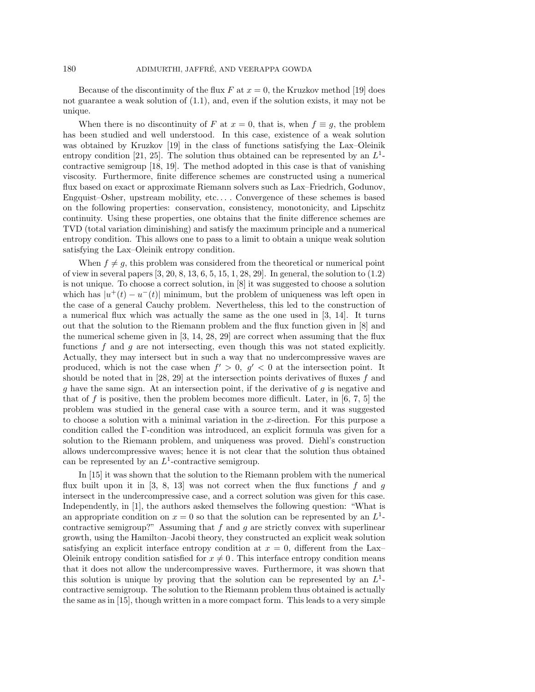Because of the discontinuity of the flux  $F$  at  $x = 0$ , the Kruzkov method [19] does not guarantee a weak solution of (1.1), and, even if the solution exists, it may not be unique.

When there is no discontinuity of F at  $x = 0$ , that is, when  $f \equiv g$ , the problem has been studied and well understood. In this case, existence of a weak solution was obtained by Kruzkov [19] in the class of functions satisfying the Lax–Oleinik entropy condition [21, 25]. The solution thus obtained can be represented by an  $L<sup>1</sup>$ contractive semigroup [18, 19]. The method adopted in this case is that of vanishing viscosity. Furthermore, finite difference schemes are constructed using a numerical flux based on exact or approximate Riemann solvers such as Lax–Friedrich, Godunov, Engquist–Osher, upstream mobility, etc... . Convergence of these schemes is based on the following properties: conservation, consistency, monotonicity, and Lipschitz continuity. Using these properties, one obtains that the finite difference schemes are TVD (total variation diminishing) and satisfy the maximum principle and a numerical entropy condition. This allows one to pass to a limit to obtain a unique weak solution satisfying the Lax–Oleinik entropy condition.

When  $f \neq g$ , this problem was considered from the theoretical or numerical point of view in several papers [3, 20, 8, 13, 6, 5, 15, 1, 28, 29]. In general, the solution to (1.2) is not unique. To choose a correct solution, in [8] it was suggested to choose a solution which has  $|u^+(t) - u^-(t)|$  minimum, but the problem of uniqueness was left open in the case of a general Cauchy problem. Nevertheless, this led to the construction of a numerical flux which was actually the same as the one used in [3, 14]. It turns out that the solution to the Riemann problem and the flux function given in [8] and the numerical scheme given in [3, 14, 28, 29] are correct when assuming that the flux functions  $f$  and  $g$  are not intersecting, even though this was not stated explicitly. Actually, they may intersect but in such a way that no undercompressive waves are produced, which is not the case when  $f' > 0$ ,  $g' < 0$  at the intersection point. It should be noted that in [28, 29] at the intersection points derivatives of fluxes f and g have the same sign. At an intersection point, if the derivative of  $g$  is negative and that of f is positive, then the problem becomes more difficult. Later, in  $[6, 7, 5]$  the problem was studied in the general case with a source term, and it was suggested to choose a solution with a minimal variation in the x-direction. For this purpose a condition called the Γ-condition was introduced, an explicit formula was given for a solution to the Riemann problem, and uniqueness was proved. Diehl's construction allows undercompressive waves; hence it is not clear that the solution thus obtained can be represented by an  $L^1$ -contractive semigroup.

In [15] it was shown that the solution to the Riemann problem with the numerical flux built upon it in  $[3, 8, 13]$  was not correct when the flux functions f and g intersect in the undercompressive case, and a correct solution was given for this case. Independently, in [1], the authors asked themselves the following question: "What is an appropriate condition on  $x = 0$  so that the solution can be represented by an  $L<sup>1</sup>$ contractive semigroup?" Assuming that  $f$  and  $g$  are strictly convex with superlinear growth, using the Hamilton–Jacobi theory, they constructed an explicit weak solution satisfying an explicit interface entropy condition at  $x = 0$ , different from the Lax– Oleinik entropy condition satisfied for  $x \neq 0$ . This interface entropy condition means that it does not allow the undercompressive waves. Furthermore, it was shown that this solution is unique by proving that the solution can be represented by an  $L<sup>1</sup>$ contractive semigroup. The solution to the Riemann problem thus obtained is actually the same as in [15], though written in a more compact form. This leads to a very simple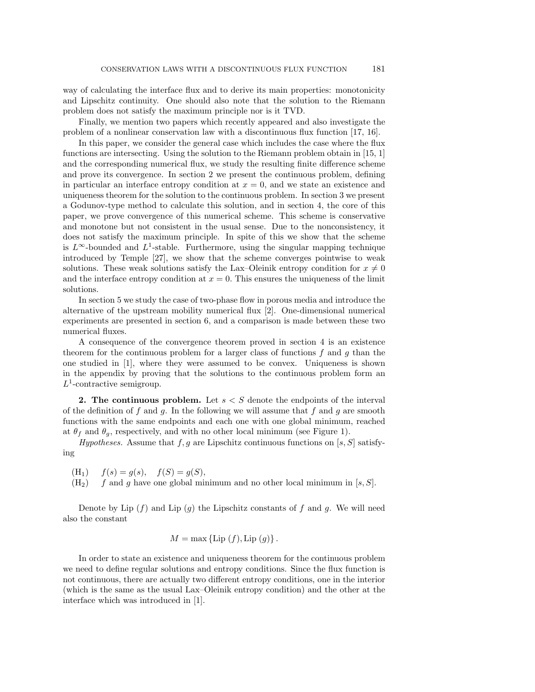way of calculating the interface flux and to derive its main properties: monotonicity and Lipschitz continuity. One should also note that the solution to the Riemann problem does not satisfy the maximum principle nor is it TVD.

Finally, we mention two papers which recently appeared and also investigate the problem of a nonlinear conservation law with a discontinuous flux function [17, 16].

In this paper, we consider the general case which includes the case where the flux functions are intersecting. Using the solution to the Riemann problem obtain in [15, 1] and the corresponding numerical flux, we study the resulting finite difference scheme and prove its convergence. In section 2 we present the continuous problem, defining in particular an interface entropy condition at  $x = 0$ , and we state an existence and uniqueness theorem for the solution to the continuous problem. In section 3 we present a Godunov-type method to calculate this solution, and in section 4, the core of this paper, we prove convergence of this numerical scheme. This scheme is conservative and monotone but not consistent in the usual sense. Due to the nonconsistency, it does not satisfy the maximum principle. In spite of this we show that the scheme is  $L^{\infty}$ -bounded and  $L^{1}$ -stable. Furthermore, using the singular mapping technique introduced by Temple [27], we show that the scheme converges pointwise to weak solutions. These weak solutions satisfy the Lax–Oleinik entropy condition for  $x \neq 0$ and the interface entropy condition at  $x = 0$ . This ensures the uniqueness of the limit solutions.

In section 5 we study the case of two-phase flow in porous media and introduce the alternative of the upstream mobility numerical flux [2]. One-dimensional numerical experiments are presented in section 6, and a comparison is made between these two numerical fluxes.

A consequence of the convergence theorem proved in section 4 is an existence theorem for the continuous problem for a larger class of functions  $f$  and  $g$  than the one studied in [1], where they were assumed to be convex. Uniqueness is shown in the appendix by proving that the solutions to the continuous problem form an  $L^1$ -contractive semigroup.

**2. The continuous problem.** Let  $s < S$  denote the endpoints of the interval of the definition of f and g. In the following we will assume that f and g are smooth functions with the same endpoints and each one with one global minimum, reached at  $\theta_f$  and  $\theta_g$ , respectively, and with no other local minimum (see Figure 1).

Hypotheses. Assume that f, g are Lipschitz continuous functions on [s, S] satisfying

- $(H_1)$   $f(s) = q(s),$   $f(S) = q(S),$
- $(H<sub>2</sub>)$  f and g have one global minimum and no other local minimum in [s, S].

Denote by Lip  $(f)$  and Lip  $(g)$  the Lipschitz constants of f and g. We will need also the constant

$$
M = \max \{ \text{Lip }(f), \text{Lip }(g) \}.
$$

In order to state an existence and uniqueness theorem for the continuous problem we need to define regular solutions and entropy conditions. Since the flux function is not continuous, there are actually two different entropy conditions, one in the interior (which is the same as the usual Lax–Oleinik entropy condition) and the other at the interface which was introduced in [1].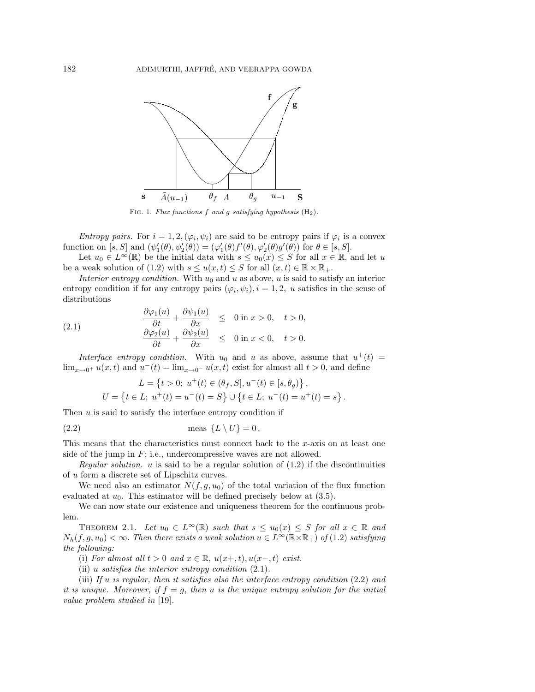

FIG. 1. Flux functions f and g satisfying hypothesis  $(H_2)$ .

*Entropy pairs.* For  $i = 1, 2, (\varphi_i, \psi_i)$  are said to be entropy pairs if  $\varphi_i$  is a convex function on  $[s, S]$  and  $(\psi'_1(\theta), \psi'_2(\theta)) = (\varphi'_1(\theta) f'(\theta), \varphi'_2(\theta) g'(\theta))$  for  $\theta \in [s, S]$ .

Let  $u_0 \in L^{\infty}(\mathbb{R})$  be the initial data with  $s \leq u_0(x) \leq S$  for all  $x \in \mathbb{R}$ , and let u be a weak solution of (1.2) with  $s \le u(x,t) \le S$  for all  $(x,t) \in \mathbb{R} \times \mathbb{R}_+$ .

Interior entropy condition. With  $u_0$  and u as above, u is said to satisfy an interior entropy condition if for any entropy pairs  $(\varphi_i, \psi_i), i = 1, 2, u$  satisfies in the sense of distributions

(2.1) 
$$
\frac{\partial \varphi_1(u)}{\partial t} + \frac{\partial \psi_1(u)}{\partial x} \leq 0 \text{ in } x > 0, \quad t > 0, \n\frac{\partial \varphi_2(u)}{\partial t} + \frac{\partial \psi_2(u)}{\partial x} \leq 0 \text{ in } x < 0, \quad t > 0.
$$

Interface entropy condition. With  $u_0$  and u as above, assume that  $u^+(t)$  =  $\lim_{x\to 0^+} u(x,t)$  and  $u^-(t) = \lim_{x\to 0^-} u(x,t)$  exist for almost all  $t > 0$ , and define

$$
L = \{t > 0; u^+(t) \in (\theta_f, S], u^-(t) \in [s, \theta_g)\},
$$
  

$$
U = \{t \in L; u^+(t) = u^-(t) = S\} \cup \{t \in L; u^-(t) = u^+(t) = s\}.
$$

Then  $u$  is said to satisfy the interface entropy condition if

$$
(2.2) \tmeas \{L \setminus U\} = 0.
$$

This means that the characteristics must connect back to the  $x$ -axis on at least one side of the jump in  $F$ ; i.e., undercompressive waves are not allowed.

Regular solution.  $u$  is said to be a regular solution of  $(1.2)$  if the discontinuities of u form a discrete set of Lipschitz curves.

We need also an estimator  $N(f, g, u_0)$  of the total variation of the flux function evaluated at  $u_0$ . This estimator will be defined precisely below at (3.5).

We can now state our existence and uniqueness theorem for the continuous problem.

THEOREM 2.1. Let  $u_0 \in L^{\infty}(\mathbb{R})$  such that  $s \leq u_0(x) \leq S$  for all  $x \in \mathbb{R}$  and  $N_h(f, g, u_0) < \infty$ . Then there exists a weak solution  $u \in L^{\infty}(\mathbb{R} \times \mathbb{R}_+)$  of (1.2) satisfying the following:

(i) For almost all  $t > 0$  and  $x \in \mathbb{R}$ ,  $u(x+, t)$ ,  $u(x-, t)$  exist.

(ii) u satisfies the interior entropy condition  $(2.1)$ .

(iii) If u is regular, then it satisfies also the interface entropy condition  $(2.2)$  and it is unique. Moreover, if  $f = g$ , then u is the unique entropy solution for the initial value problem studied in [19].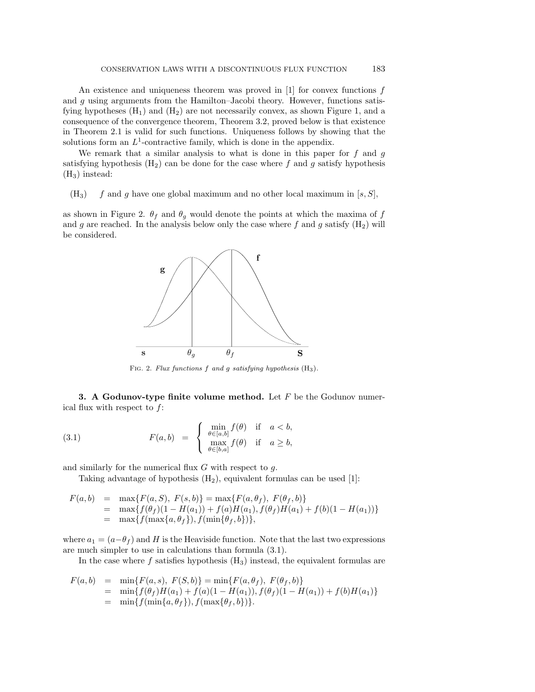An existence and uniqueness theorem was proved in  $[1]$  for convex functions f and  $g$  using arguments from the Hamilton–Jacobi theory. However, functions satisfying hypotheses  $(H_1)$  and  $(H_2)$  are not necessarily convex, as shown Figure 1, and a consequence of the convergence theorem, Theorem 3.2, proved below is that existence in Theorem 2.1 is valid for such functions. Uniqueness follows by showing that the solutions form an  $L^1$ -contractive family, which is done in the appendix.

We remark that a similar analysis to what is done in this paper for  $f$  and  $g$ satisfying hypothesis  $(H_2)$  can be done for the case where f and g satisfy hypothesis  $(H_3)$  instead:

 $(H_3)$  f and g have one global maximum and no other local maximum in  $|s, S|$ ,

as shown in Figure 2.  $\theta_f$  and  $\theta_g$  would denote the points at which the maxima of f and g are reached. In the analysis below only the case where  $f$  and  $g$  satisfy  $(H_2)$  will be considered.



FIG. 2. Flux functions  $f$  and  $g$  satisfying hypothesis  $(H_3)$ .

**3. A Godunov-type finite volume method.** Let  $F$  be the Godunov numerical flux with respect to  $f$ :

(3.1) 
$$
F(a,b) = \begin{cases} \min_{\theta \in [a,b]} f(\theta) & \text{if } a < b, \\ \max_{\theta \in [b,a]} f(\theta) & \text{if } a \ge b, \end{cases}
$$

and similarly for the numerical flux  $G$  with respect to  $q$ .

Taking advantage of hypothesis  $(H_2)$ , equivalent formulas can be used [1]:

$$
F(a,b) = \max\{F(a, S), F(s,b)\} = \max\{F(a, \theta_f), F(\theta_f, b)\}
$$
  
= 
$$
\max\{f(\theta_f)(1 - H(a_1)) + f(a)H(a_1), f(\theta_f)H(a_1) + f(b)(1 - H(a_1))\}
$$
  
= 
$$
\max\{f(\max\{a, \theta_f\}), f(\min\{\theta_f, b\})\},
$$

where  $a_1 = (a - \theta_f)$  and H is the Heaviside function. Note that the last two expressions are much simpler to use in calculations than formula (3.1).

In the case where f satisfies hypothesis  $(H_3)$  instead, the equivalent formulas are

$$
F(a,b) = \min\{F(a,s), F(S,b)\} = \min\{F(a,\theta_f), F(\theta_f,b)\}
$$
  
= 
$$
\min\{f(\theta_f)H(a_1) + f(a)(1 - H(a_1)), f(\theta_f)(1 - H(a_1)) + f(b)H(a_1)\}
$$
  
= 
$$
\min\{f(\min\{a,\theta_f\}), f(\max\{\theta_f,b\})\}.
$$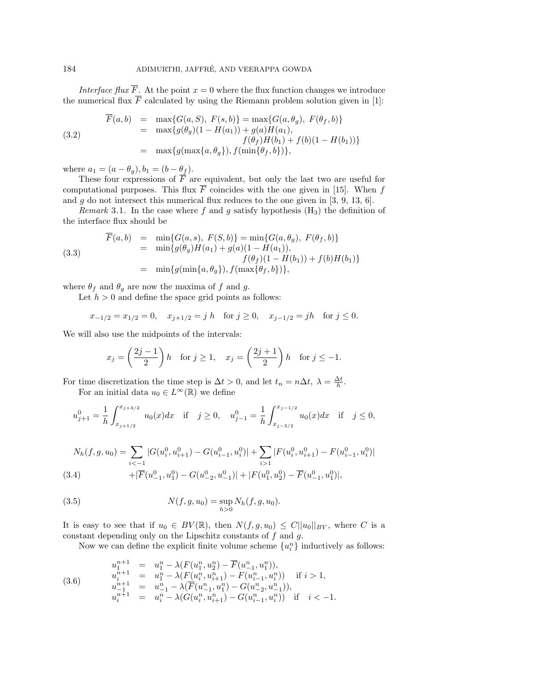Interface flux  $\overline{F}$ . At the point  $x = 0$  where the flux function changes we introduce the numerical flux  $\overline{F}$  calculated by using the Riemann problem solution given in [1]:

(3.2)  
\n
$$
F(a,b) = \max\{G(a, S), F(s, b)\} = \max\{G(a, \theta_g), F(\theta_f, b)\}
$$
\n
$$
= \max\{g(\theta_g)(1 - H(a_1)) + g(a)H(a_1), f(\theta_f)H(b_1) + f(b)(1 - H(b_1))\}
$$
\n
$$
= \max\{g(\max\{a, \theta_g\}), f(\min\{\theta_f, b\})\},
$$

where  $a_1 = (a - \theta_g), b_1 = (b - \theta_f).$ 

These four expressions of  $F$  are equivalent, but only the last two are useful for computational purposes. This flux  $\overline{F}$  coincides with the one given in [15]. When f and  $g$  do not intersect this numerical flux reduces to the one given in [3, 9, 13, 6].

Remark 3.1. In the case where f and g satisfy hypothesis  $(H_3)$  the definition of the interface flux should be

(3.3)  
\n
$$
\begin{array}{rcl}\n\overline{F}(a,b) & = & \min\{G(a,s), F(S,b)\} = & \min\{G(a,\theta_g), F(\theta_f,b)\} \\
& = & \min\{g(\theta_g)H(a_1) + g(a)(1 - H(a_1)), \\
& f(\theta_f)(1 - H(b_1)) + f(b)H(b_1)\} \\
& = & \min\{g(\min\{a,\theta_g\}), f(\max\{\theta_f,b\})\},\n\end{array}
$$

where  $\theta_f$  and  $\theta_g$  are now the maxima of f and g.

Let  $h > 0$  and define the space grid points as follows:

$$
x_{-1/2} = x_{1/2} = 0
$$
,  $x_{j+1/2} = j h$  for  $j \ge 0$ ,  $x_{j-1/2} = j h$  for  $j \le 0$ .

We will also use the midpoints of the intervals:

$$
x_j = \left(\frac{2j-1}{2}\right)h \quad \text{for } j \ge 1, \quad x_j = \left(\frac{2j+1}{2}\right)h \quad \text{for } j \le -1.
$$

For time discretization the time step is  $\Delta t > 0$ , and let  $t_n = n\Delta t$ ,  $\lambda = \frac{\Delta t}{h}$ .

For an initial data  $u_0 \in L^{\infty}(\mathbb{R})$  we define

$$
u^0_{j+1} = \frac{1}{h} \int_{x_{j+1/2}}^{x_{j+3/2}} u_0(x) dx \quad \text{if} \quad j \ge 0, \quad u^0_{j-1} = \frac{1}{h} \int_{x_{j-3/2}}^{x_{j-1/2}} u_0(x) dx \quad \text{if} \quad j \le 0,
$$

$$
N_h(f, g, u_0) = \sum_{i < -1} |G(u_i^0, u_{i+1}^0) - G(u_{i-1}^0, u_i^0)| + \sum_{i > 1} |F(u_i^0, u_{i+1}^0) - F(u_{i-1}^0, u_i^0)|
$$
  
(3.4) 
$$
+ |\overline{F}(u_{-1}^0, u_1^0) - G(u_{-2}^0, u_{-1}^0)| + |F(u_1^0, u_2^0) - \overline{F}(u_{-1}^0, u_1^0)|,
$$

(3.5) 
$$
N(f, g, u_0) = \sup_{h>0} N_h(f, g, u_0).
$$

It is easy to see that if  $u_0 \in BV(\mathbb{R})$ , then  $N(f, g, u_0) \leq C ||u_0||_{BV}$ , where C is a constant depending only on the Lipschitz constants of  $f$  and  $g$ .

Now we can define the explicit finite volume scheme  $\{u_i^n\}$  inductively as follows:

$$
\begin{array}{rcl}\nu_1^{n+1} & = & u_1^n - \lambda(F(u_1^n, u_2^n) - \overline{F}(u_{-1}^n, u_1^n)), \\
u_i^{n+1} & = & u_1^n - \lambda(F(u_i^n, u_{i+1}^n) - F(u_{i-1}^n, u_i^n)) \quad \text{if } i > 1, \\
u_{-1}^{n+1} & = & u_{-1}^n - \lambda(\overline{F}(u_{-1}^n, u_1^n) - G(u_{-2}^n, u_{-1}^n)), \\
u_i^{n+1} & = & u_i^n - \lambda(G(u_i^n, u_{i+1}^n) - G(u_{i-1}^n, u_i^n)) \quad \text{if } i < -1.\n\end{array}
$$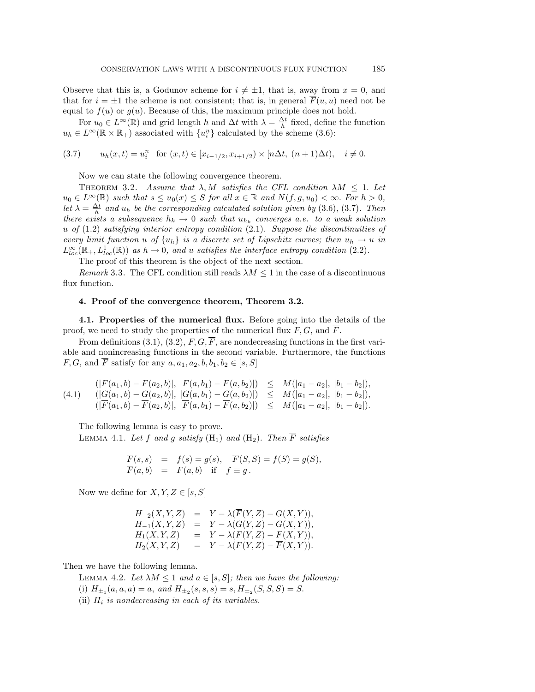Observe that this is, a Godunov scheme for  $i \neq \pm 1$ , that is, away from  $x = 0$ , and that for  $i = \pm 1$  the scheme is not consistent; that is, in general  $\overline{F}(u, u)$  need not be equal to  $f(u)$  or  $g(u)$ . Because of this, the maximum principle does not hold.

For  $u_0 \in L^{\infty}(\mathbb{R})$  and grid length  $h$  and  $\Delta t$  with  $\lambda = \frac{\Delta t}{h}$  fixed, define the function  $u_h \in L^{\infty}(\mathbb{R} \times \mathbb{R}_+)$  associated with  $\{u_i^n\}$  calculated by the scheme (3.6):

$$
(3.7) \t uh(x,t) = uin for (x,t) \in [xi-1/2, xi+1/2) \times [n\Delta t, (n+1)\Delta t), i \neq 0.
$$

Now we can state the following convergence theorem.

THEOREM 3.2. Assume that  $\lambda$ , M satisfies the CFL condition  $\lambda M \leq 1$ . Let  $u_0 \in L^{\infty}(\mathbb{R})$  such that  $s \leq u_0(x) \leq S$  for all  $x \in \mathbb{R}$  and  $N(f, g, u_0) < \infty$ . For  $h > 0$ , let  $\lambda = \frac{\Delta t}{h}$  and  $u_h$  be the corresponding calculated solution given by (3.6), (3.7). Then there exists a subsequence  $h_k \to 0$  such that  $u_{h_k}$  converges a.e. to a weak solution u of  $(1.2)$  satisfying interior entropy condition  $(2.1)$ . Suppose the discontinuities of every limit function u of  $\{u_h\}$  is a discrete set of Lipschitz curves; then  $u_h \to u$  in  $L^{\infty}_{loc}(\mathbb{R}_+, L^1_{loc}(\mathbb{R}))$  as  $h \to 0$ , and u satisfies the interface entropy condition (2.2).

The proof of this theorem is the object of the next section.

Remark 3.3. The CFL condition still reads  $\lambda M \leq 1$  in the case of a discontinuous flux function.

## **4. Proof of the convergence theorem, Theorem 3.2.**

**4.1. Properties of the numerical flux.** Before going into the details of the proof, we need to study the properties of the numerical flux  $F, G$ , and  $\overline{F}$ .

From definitions (3.1), (3.2),  $F, G, \overline{F}$ , are nondecreasing functions in the first variable and nonincreasing functions in the second variable. Furthermore, the functions F, G, and  $\overline{F}$  satisfy for any  $a, a_1, a_2, b, b_1, b_2 \in [s, S]$ 

$$
(4.1) \quad (|F(a_1, b) - F(a_2, b)|, |F(a, b_1) - F(a, b_2)|) \leq M(|a_1 - a_2|, |b_1 - b_2|),(|G(a_1, b) - G(a_2, b)|, |G(a, b_1) - G(a, b_2)|) \leq M(|a_1 - a_2|, |b_1 - b_2|),(|F(a_1, b) - F(a_2, b)|, |F(a, b_1) - F(a, b_2)|) \leq M(|a_1 - a_2|, |b_1 - b_2|).
$$

The following lemma is easy to prove.

LEMMA 4.1. Let f and g satisfy  $(H_1)$  and  $(H_2)$ . Then  $\overline{F}$  satisfies

$$
\overline{F}(s,s) = f(s) = g(s), \quad \overline{F}(S,S) = f(S) = g(S), \n\overline{F}(a,b) = F(a,b) \quad \text{if} \quad f \equiv g.
$$

Now we define for  $X, Y, Z \in [s, S]$ 

$$
H_{-2}(X, Y, Z) = Y - \lambda(\overline{F}(Y, Z) - G(X, Y)),
$$
  
\n
$$
H_{-1}(X, Y, Z) = Y - \lambda(G(Y, Z) - G(X, Y)),
$$
  
\n
$$
H_1(X, Y, Z) = Y - \lambda(F(Y, Z) - F(X, Y)),
$$
  
\n
$$
H_2(X, Y, Z) = Y - \lambda(F(Y, Z) - \overline{F}(X, Y)).
$$

Then we have the following lemma.

LEMMA 4.2. Let  $\lambda M \leq 1$  and  $a \in [s, S]$ ; then we have the following: (i)  $H_{\pm_1}(a, a, a) = a$ , and  $H_{\pm_2}(s, s, s) = s$ ,  $H_{\pm_2}(S, S, S) = S$ .

(ii)  $H_i$  is nondecreasing in each of its variables.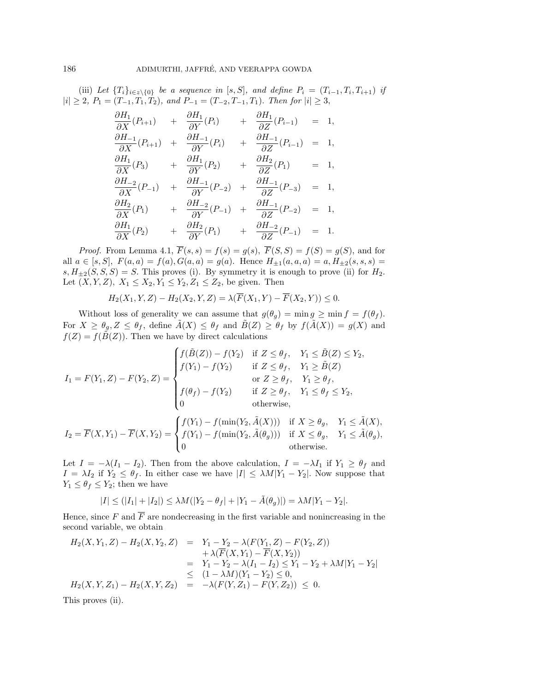(iii) Let  $\{T_i\}_{i\in \mathbb{Z}\setminus\{0\}}$  be a sequence in [s, S], and define  $P_i = (T_{i-1}, T_i, T_{i+1})$  if  $|i| \geq 2$ ,  $P_1 = (T_{-1}, T_1, T_2)$ , and  $P_{-1} = (T_{-2}, T_{-1}, T_1)$ . Then for  $|i| \geq 3$ ,

$$
\frac{\partial H_1}{\partial X}(P_{i+1}) + \frac{\partial H_1}{\partial Y}(P_i) + \frac{\partial H_1}{\partial Z}(P_{i-1}) = 1,\n\frac{\partial H_{-1}}{\partial X}(P_{i+1}) + \frac{\partial H_{-1}}{\partial Y}(P_i) + \frac{\partial H_{-1}}{\partial Z}(P_{i-1}) = 1,\n\frac{\partial H_1}{\partial X}(P_3) + \frac{\partial H_1}{\partial Y}(P_2) + \frac{\partial H_2}{\partial Z}(P_1) = 1,\n\frac{\partial H_{-2}}{\partial X}(P_{-1}) + \frac{\partial H_{-1}}{\partial Y}(P_{-2}) + \frac{\partial H_{-1}}{\partial Z}(P_{-3}) = 1,\n\frac{\partial H_2}{\partial X}(P_1) + \frac{\partial H_{-2}}{\partial Y}(P_{-1}) + \frac{\partial H_{-1}}{\partial Z}(P_{-2}) = 1,\n\frac{\partial H_1}{\partial X}(P_2) + \frac{\partial H_2}{\partial Y}(P_1) + \frac{\partial H_{-2}}{\partial Z}(P_{-1}) = 1.
$$

*Proof.* From Lemma 4.1,  $\overline{F}(s, s) = f(s) = g(s)$ ,  $\overline{F}(S, S) = f(S) = g(S)$ , and for all  $a \in [s, S]$ ,  $F(a, a) = f(a)$ ,  $G(a, a) = g(a)$ . Hence  $H_{\pm 1}(a, a, a) = a$ ,  $H_{\pm 2}(s, s, s) =$  $s, H_{\pm 2}(S, S, S) = S$ . This proves (i). By symmetry it is enough to prove (ii) for  $H_2$ . Let  $(X, Y, Z), X_1 \leq X_2, Y_1 \leq Y_2, Z_1 \leq Z_2$ , be given. Then

$$
H_2(X_1, Y, Z) - H_2(X_2, Y, Z) = \lambda(\overline{F}(X_1, Y) - \overline{F}(X_2, Y)) \le 0.
$$

Without loss of generality we can assume that  $g(\theta_g) = \min g \ge \min f = f(\theta_f)$ . For  $X \ge \theta_g$ ,  $Z \le \theta_f$ , define  $\tilde{A}(X) \le \theta_f$  and  $\tilde{B}(Z) \ge \theta_f$  by  $f(\tilde{A}(X)) = g(X)$  and  $f(Z) = f(\tilde{B}(Z))$ . Then we have by direct calculations

$$
I_1 = F(Y_1, Z) - F(Y_2, Z) = \begin{cases} f(\tilde{B}(Z)) - f(Y_2) & \text{if } Z \le \theta_f, & Y_1 \le \tilde{B}(Z) \le Y_2, \\ f(Y_1) - f(Y_2) & \text{if } Z \le \theta_f, & Y_1 \ge \tilde{B}(Z) \\ & \text{or } Z \ge \theta_f, & Y_1 \ge \theta_f, \\ f(\theta_f) - f(Y_2) & \text{if } Z \ge \theta_f, & Y_1 \le \theta_f \le Y_2, \\ 0 & \text{otherwise,} \end{cases}
$$

$$
I_2 = \overline{F}(X, Y_1) - \overline{F}(X, Y_2) = \begin{cases} f(Y_1) - f(\min(Y_2, \tilde{A}(X))) & \text{if } X \ge \theta_g, & Y_1 \le \tilde{A}(X), \\ f(Y_1) - f(\min(Y_2, \tilde{A}(\theta_g))) & \text{if } X \le \theta_g, & Y_1 \le \tilde{A}(\theta_g), \\ 0 & \text{otherwise.} \end{cases}
$$

Let  $I = -\lambda (I_1 - I_2)$ . Then from the above calculation,  $I = -\lambda I_1$  if  $Y_1 \ge \theta_f$  and  $I = \lambda I_2$  if  $Y_2 \le \theta_f$ . In either case we have  $|I| \le \lambda M |Y_1 - Y_2|$ . Now suppose that  $Y_1 \leq \theta_f \leq Y_2$ ; then we have

$$
|I| \le (|I_1| + |I_2|) \le \lambda M(|Y_2 - \theta_f| + |Y_1 - \tilde{A}(\theta_g)|) = \lambda M|Y_1 - Y_2|.
$$

Hence, since F and  $\overline{F}$  are nondecreasing in the first variable and nonincreasing in the second variable, we obtain

$$
H_2(X, Y_1, Z) - H_2(X, Y_2, Z) = Y_1 - Y_2 - \lambda (F(Y_1, Z) - F(Y_2, Z))
$$
  
\n
$$
+ \lambda (\overline{F}(X, Y_1) - \overline{F}(X, Y_2))
$$
  
\n
$$
= Y_1 - Y_2 - \lambda (I_1 - I_2) \le Y_1 - Y_2 + \lambda M |Y_1 - Y_2|
$$
  
\n
$$
\le (1 - \lambda M)(Y_1 - Y_2) \le 0,
$$
  
\n
$$
H_2(X, Y, Z_1) - H_2(X, Y, Z_2) = -\lambda (F(Y, Z_1) - F(Y, Z_2)) \le 0.
$$

This proves (ii).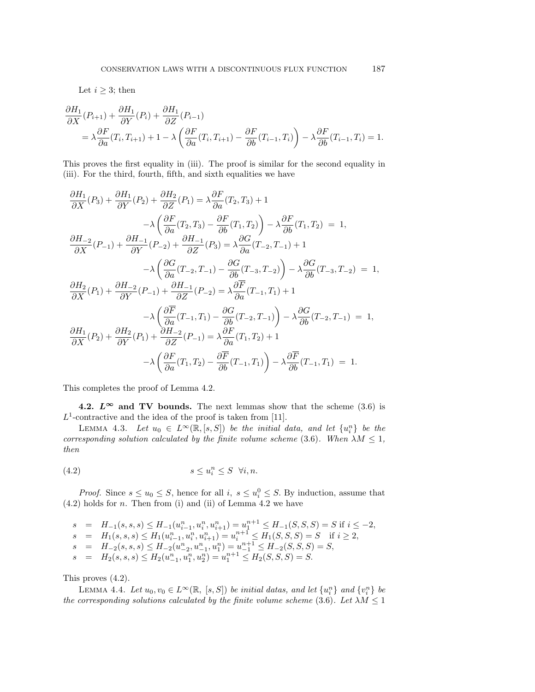Let  $i \geq 3$ ; then

$$
\frac{\partial H_1}{\partial X}(P_{i+1}) + \frac{\partial H_1}{\partial Y}(P_i) + \frac{\partial H_1}{\partial Z}(P_{i-1})
$$
\n
$$
= \lambda \frac{\partial F}{\partial a}(T_i, T_{i+1}) + 1 - \lambda \left(\frac{\partial F}{\partial a}(T_i, T_{i+1}) - \frac{\partial F}{\partial b}(T_{i-1}, T_i)\right) - \lambda \frac{\partial F}{\partial b}(T_{i-1}, T_i) = 1.
$$

This proves the first equality in (iii). The proof is similar for the second equality in (iii). For the third, fourth, fifth, and sixth equalities we have

$$
\frac{\partial H_1}{\partial X}(P_3) + \frac{\partial H_1}{\partial Y}(P_2) + \frac{\partial H_2}{\partial Z}(P_1) = \lambda \frac{\partial F}{\partial a}(T_2, T_3) + 1
$$
  
\n
$$
-\lambda \left(\frac{\partial F}{\partial a}(T_2, T_3) - \frac{\partial F}{\partial b}(T_1, T_2)\right) - \lambda \frac{\partial F}{\partial b}(T_1, T_2) = 1,
$$
  
\n
$$
\frac{\partial H_{-2}}{\partial X}(P_{-1}) + \frac{\partial H_{-1}}{\partial Y}(P_{-2}) + \frac{\partial H_{-1}}{\partial Z}(P_3) = \lambda \frac{\partial G}{\partial a}(T_{-2}, T_{-1}) + 1
$$
  
\n
$$
-\lambda \left(\frac{\partial G}{\partial a}(T_{-2}, T_{-1}) - \frac{\partial G}{\partial b}(T_{-3}, T_{-2})\right) - \lambda \frac{\partial G}{\partial b}(T_{-3}, T_{-2}) = 1,
$$
  
\n
$$
\frac{\partial H_2}{\partial X}(P_1) + \frac{\partial H_{-2}}{\partial Y}(P_{-1}) + \frac{\partial H_{-1}}{\partial Z}(P_{-2}) = \lambda \frac{\partial F}{\partial a}(T_{-1}, T_1) + 1
$$
  
\n
$$
-\lambda \left(\frac{\partial F}{\partial a}(T_{-1}, T_1) - \frac{\partial G}{\partial b}(T_{-2}, T_{-1})\right) - \lambda \frac{\partial G}{\partial b}(T_{-2}, T_{-1}) = 1,
$$
  
\n
$$
\frac{\partial H_1}{\partial X}(P_2) + \frac{\partial H_2}{\partial Y}(P_1) + \frac{\partial H_{-2}}{\partial Z}(P_{-1}) = \lambda \frac{\partial F}{\partial a}(T_1, T_2) + 1
$$
  
\n
$$
-\lambda \left(\frac{\partial F}{\partial a}(T_1, T_2) - \frac{\partial F}{\partial b}(T_{-1}, T_1)\right) - \lambda \frac{\partial F}{\partial b}(T_{-1}, T_1) = 1.
$$

This completes the proof of Lemma 4.2.

**4.2.**  $L^{\infty}$  and TV bounds. The next lemmas show that the scheme (3.6) is  $L^1$ -contractive and the idea of the proof is taken from [11].

LEMMA 4.3. Let  $u_0 \in L^{\infty}(\mathbb{R}, [s, S])$  be the initial data, and let  $\{u_i^n\}$  be the corresponding solution calculated by the finite volume scheme (3.6). When  $\lambda M \leq 1$ , then

$$
(4.2) \t\t s \le u_i^n \le S \quad \forall i, n.
$$

*Proof.* Since  $s \leq u_0 \leq S$ , hence for all  $i, s \leq u_i^0 \leq S$ . By induction, assume that  $(4.2)$  holds for *n*. Then from (i) and (ii) of Lemma 4.2 we have

$$
s = H_{-1}(s, s, s) \le H_{-1}(u_{i-1}^n, u_i^n, u_{i+1}^n) = u_1^{n+1} \le H_{-1}(S, S, S) = S \text{ if } i \le -2,
$$
  
\n
$$
s = H_1(s, s, s) \le H_1(u_{i-1}^n, u_i^n, u_{i+1}^n) = u_i^{n+1} \le H_1(S, S, S) = S \text{ if } i \ge 2,
$$
  
\n
$$
s = H_{-2}(s, s, s) \le H_{-2}(u_{-2}^n, u_{-1}^n, u_1^n) = u_{-1}^{n+1} \le H_{-2}(S, S, S) = S,
$$
  
\n
$$
s = H_2(s, s, s) \le H_2(u_{-1}^n, u_1^n, u_2^n) = u_1^{n+1} \le H_2(S, S, S) = S.
$$

This proves (4.2).

LEMMA 4.4. Let  $u_0, v_0 \in L^{\infty}(\mathbb{R}, [s, S])$  be initial datas, and let  $\{u_i^n\}$  and  $\{v_i^n\}$  be the corresponding solutions calculated by the finite volume scheme (3.6). Let  $\lambda M \leq 1$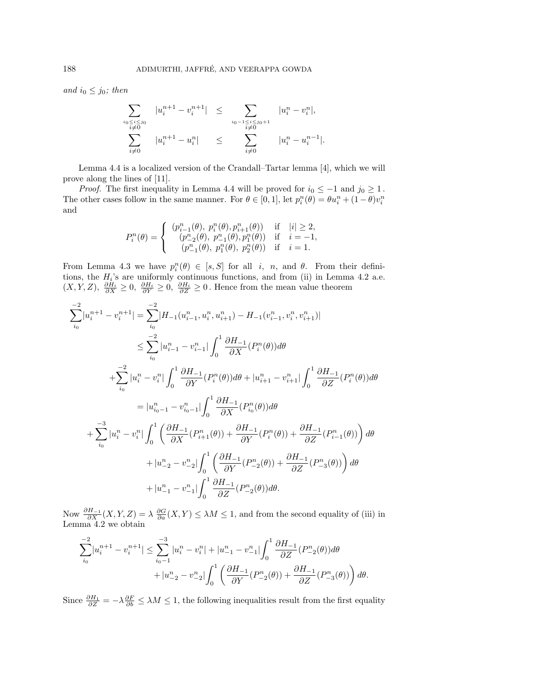and  $i_0 \leq j_0$ ; then

$$
\sum_{\substack{i_0 \le i \le j_0 \\ i \neq 0}} |u_i^{n+1} - v_i^{n+1}| \le \sum_{\substack{i_0 - 1 \le i \le j_0 + 1 \\ i \neq 0}} |u_i^n - v_i^n|,
$$
  

$$
\sum_{i \neq 0} |u_i^{n+1} - u_i^n| \le \sum_{i \neq 0} |u_i^n - u_i^{n-1}|.
$$

Lemma 4.4 is a localized version of the Crandall–Tartar lemma [4], which we will prove along the lines of [11].

*Proof.* The first inequality in Lemma 4.4 will be proved for  $i_0 \le -1$  and  $j_0 \ge 1$ . The other cases follow in the same manner. For  $\theta \in [0, 1]$ , let  $p_i^n(\theta) = \theta u_i^n + (1 - \theta)v_i^n$ and

$$
P_i^n(\theta) = \begin{cases} (p_{i-1}^n(\theta), p_i^n(\theta), p_{i+1}^n(\theta)) & \text{if} \quad |i| \ge 2, \\ (p_{-2}^n(\theta), p_{-1}^n(\theta), p_1^n(\theta)) & \text{if} \quad i = -1, \\ (p_{-1}^n(\theta), p_1^n(\theta), p_2^n(\theta)) & \text{if} \quad i = 1. \end{cases}
$$

From Lemma 4.3 we have  $p_i^n(\theta) \in [s, S]$  for all i, n, and  $\theta$ . From their definitions, the  $H_i$ 's are uniformly continuous functions, and from (ii) in Lemma 4.2 a.e.  $(X, Y, Z), \frac{\partial H_i}{\partial X} \geq 0, \frac{\partial H_i}{\partial Y} \geq 0, \frac{\partial H_i}{\partial Z} \geq 0$ . Hence from the mean value theorem

$$
\sum_{i_0}^{-2} |u_i^{n+1} - v_i^{n+1}| = \sum_{i_0}^{-2} |H_{-1}(u_{i-1}^n, u_i^n, u_{i+1}^n) - H_{-1}(v_{i-1}^n, v_i^n, v_{i+1}^n)|
$$
  
\n
$$
\leq \sum_{i_0}^{-2} |u_{i-1}^n - v_{i-1}^n| \int_0^1 \frac{\partial H_{-1}}{\partial X} (P_i^n(\theta)) d\theta
$$
  
\n
$$
+ \sum_{i_0}^{-2} |u_i^n - v_i^n| \int_0^1 \frac{\partial H_{-1}}{\partial Y} (P_i^n(\theta)) d\theta + |u_{i+1}^n - v_{i+1}^n| \int_0^1 \frac{\partial H_{-1}}{\partial Z} (P_i^n(\theta)) d\theta
$$
  
\n
$$
= |u_{i_0-1}^n - v_{i_0-1}^n| \int_0^1 \frac{\partial H_{-1}}{\partial X} (P_{i_0}^n(\theta)) d\theta
$$
  
\n
$$
+ \sum_{i_0}^{-3} |u_i^n - v_i^n| \int_0^1 \left( \frac{\partial H_{-1}}{\partial X} (P_{i+1}^n(\theta)) + \frac{\partial H_{-1}}{\partial Y} (P_i^n(\theta)) + \frac{\partial H_{-1}}{\partial Z} (P_{i-1}^n(\theta)) \right) d\theta
$$
  
\n
$$
+ |u_{-2}^n - v_{-2}^n| \int_0^1 \left( \frac{\partial H_{-1}}{\partial Y} (P_{-2}^n(\theta)) + \frac{\partial H_{-1}}{\partial Z} (P_{-3}^n(\theta)) \right) d\theta
$$
  
\n
$$
+ |u_{-1}^n - v_{-1}^n| \int_0^1 \frac{\partial H_{-1}}{\partial Z} (P_{-2}^n(\theta)) d\theta.
$$

Now  $\frac{\partial H_{-1}}{\partial X}(X, Y, Z) = \lambda \frac{\partial G}{\partial a}(X, Y) \le \lambda M \le 1$ , and from the second equality of (iii) in Lemma 4.2 we obtain

$$
\sum_{i_0}^{-2} |u_i^{n+1} - v_i^{n+1}| \le \sum_{i_0-1}^{-3} |u_i^n - v_i^n| + |u_{-1}^n - v_{-1}^n| \int_0^1 \frac{\partial H_{-1}}{\partial Z} (P_{-2}^n(\theta)) d\theta + |u_{-2}^n - v_{-2}^n| \int_0^1 \left( \frac{\partial H_{-1}}{\partial Y} (P_{-2}^n(\theta)) + \frac{\partial H_{-1}}{\partial Z} (P_{-3}^n(\theta)) \right) d\theta.
$$

Since  $\frac{\partial H_1}{\partial Z} = -\lambda \frac{\partial F}{\partial b} \le \lambda M \le 1$ , the following inequalities result from the first equality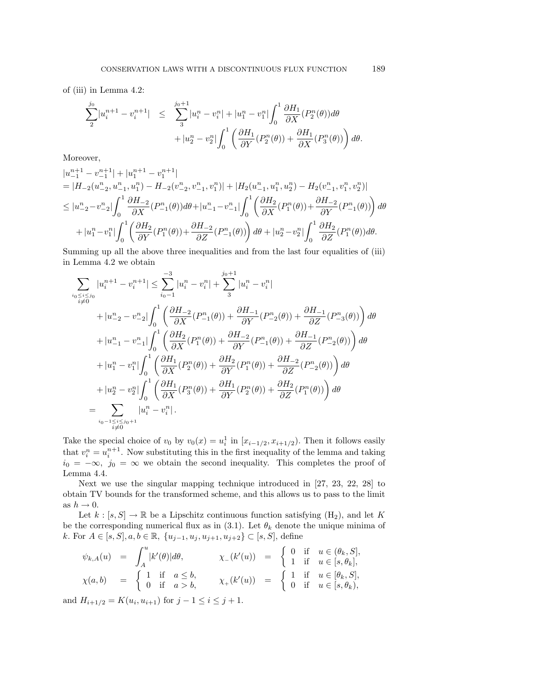of (iii) in Lemma 4.2:

$$
\sum_{2}^{j_{0}} |u_{i}^{n+1} - v_{i}^{n+1}| \leq \sum_{3}^{j_{0}+1} |u_{i}^{n} - v_{i}^{n}| + |u_{1}^{n} - v_{1}^{n}| \int_{0}^{1} \frac{\partial H_{1}}{\partial X} (P_{2}^{n}(\theta)) d\theta \n+ |u_{2}^{n} - v_{2}^{n}| \int_{0}^{1} \left( \frac{\partial H_{1}}{\partial Y} (P_{2}^{n}(\theta)) + \frac{\partial H_{1}}{\partial X} (P_{3}^{n}(\theta)) \right) d\theta.
$$

Moreover,

$$
\begin{split} &|u_{-1}^{n+1}-v_{-1}^{n+1}|+|u_{1}^{n+1}-v_{1}^{n+1}| \\ &=|H_{-2}(u_{-2}^{n},u_{-1}^{n},u_{1}^{n})-H_{-2}(v_{-2}^{n},v_{-1}^{n},v_{1}^{n})|+|H_{2}(u_{-1}^{n},u_{1}^{n},u_{2}^{n})-H_{2}(v_{-1}^{n},v_{1}^{n},v_{2}^{n})| \\ &\leq |u_{-2}^{n}-v_{-2}^{n}| \int_{0}^{1} \frac{\partial H_{-2}}{\partial X}(P_{-1}^{n}(\theta)) d\theta+|u_{-1}^{n}-v_{-1}^{n}| \int_{0}^{1} \left(\frac{\partial H_{2}}{\partial X}(P_{1}^{n}(\theta))+\frac{\partial H_{-2}}{\partial Y}(P_{-1}^{n}(\theta))\right) d\theta \\ &\quad +|u_{1}^{n}-v_{1}^{n}| \int_{0}^{1} \left(\frac{\partial H_{2}}{\partial Y}(P_{1}^{n}(\theta))+\frac{\partial H_{-2}}{\partial Z}(P_{-1}^{n}(\theta))\right) d\theta+|u_{2}^{n}-v_{2}^{n}| \int_{0}^{1} \frac{\partial H_{2}}{\partial Z}(P_{1}^{n}(\theta)) d\theta. \end{split}
$$

Summing up all the above three inequalities and from the last four equalities of (iii) in Lemma 4.2 we obtain

$$
\sum_{\substack{i_0 \le i \le j_0 \\ i \neq 0}} |u_i^{n+1} - v_i^{n+1}| \le \sum_{i_0-1}^{-3} |u_i^n - v_i^n| + \sum_{3}^{j_0+1} |u_i^n - v_i^n| \n+ |u_{-2}^n - v_{-2}^n| \int_0^1 \left( \frac{\partial H_{-2}}{\partial X} (P_{-1}^n(\theta)) + \frac{\partial H_{-1}}{\partial Y} (P_{-2}^n(\theta)) + \frac{\partial H_{-1}}{\partial Z} (P_{-3}^n(\theta)) \right) d\theta \n+ |u_{-1}^n - v_{-1}^n| \int_0^1 \left( \frac{\partial H_2}{\partial X} (P_1^n(\theta)) + \frac{\partial H_{-2}}{\partial Y} (P_{-1}^n(\theta)) + \frac{\partial H_{-1}}{\partial Z} (P_{-2}^n(\theta)) \right) d\theta \n+ |u_i^n - v_i^n| \int_0^1 \left( \frac{\partial H_1}{\partial X} (P_2^n(\theta)) + \frac{\partial H_2}{\partial Y} (P_1^n(\theta)) + \frac{\partial H_{-2}}{\partial Z} (P_{-2}^n(\theta)) \right) d\theta \n+ |u_2^n - v_2^n| \int_0^1 \left( \frac{\partial H_1}{\partial X} (P_3^n(\theta)) + \frac{\partial H_1}{\partial Y} (P_2^n(\theta)) + \frac{\partial H_2}{\partial Z} (P_1^n(\theta)) \right) d\theta \n= \sum_{i_0-1 \le i \le j_0+1} |u_i^n - v_i^n|.
$$

Take the special choice of  $v_0$  by  $v_0(x) = u_i^1$  in  $[x_{i-1/2}, x_{i+1/2})$ . Then it follows easily that  $v_i^n = u_i^{n+1}$ . Now substituting this in the first inequality of the lemma and taking  $i_0 = -\infty$ ,  $j_0 = \infty$  we obtain the second inequality. This completes the proof of Lemma 4.4.

Next we use the singular mapping technique introduced in [27, 23, 22, 28] to obtain TV bounds for the transformed scheme, and this allows us to pass to the limit as  $h \to 0$ .

Let  $k : [s, S] \to \mathbb{R}$  be a Lipschitz continuous function satisfying  $(H_2)$ , and let K be the corresponding numerical flux as in (3.1). Let  $\theta_k$  denote the unique minima of k. For  $A \in [s, S], a, b \in \mathbb{R}, \{u_{j-1}, u_j, u_{j+1}, u_{j+2}\} \subset [s, S],$  define

$$
\psi_{k,A}(u) = \int_A^u |k'(\theta)| d\theta, \qquad \chi_{-}(k'(u)) = \begin{cases} 0 & \text{if } u \in (\theta_k, S], \\ 1 & \text{if } u \in [s, \theta_k], \end{cases}
$$
  

$$
\chi(a,b) = \begin{cases} 1 & \text{if } a \le b, \\ 0 & \text{if } a > b, \end{cases} \qquad \chi_{+}(k'(u)) = \begin{cases} 1 & \text{if } u \in [\theta_k, S], \\ 0 & \text{if } u \in [s, \theta_k), \end{cases}
$$

and  $H_{i+1/2} = K(u_i, u_{i+1})$  for  $j - 1 \leq i \leq j + 1$ .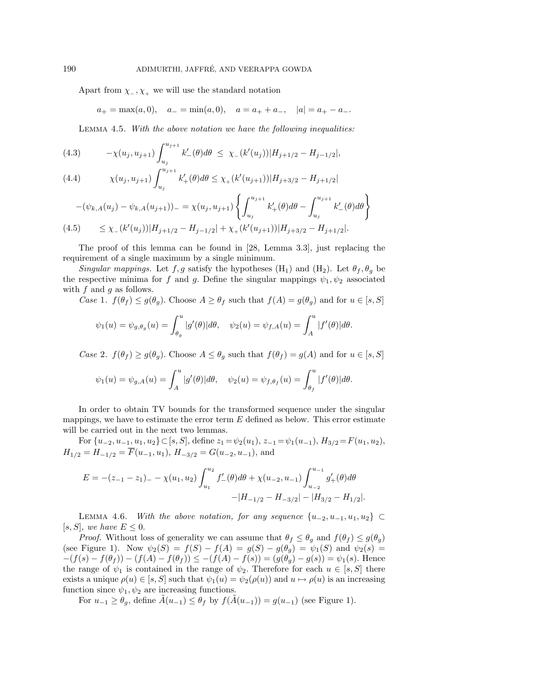Apart from  $\chi$ <sub>-</sub>,  $\chi$ <sub>+</sub> we will use the standard notation

$$
a_+=\max(a,0),\quad a_-=\min(a,0),\quad a=a_++a_-,\quad |a|=a_+-a_-.
$$

Lemma 4.5. With the above notation we have the following inequalities:

(4.3) 
$$
-\chi(u_j, u_{j+1}) \int_{u_j}^{u_{j+1}} k'_{-}(\theta) d\theta \le \chi_{-}(k'(u_j)) |H_{j+1/2} - H_{j-1/2}|,
$$

(4.4) 
$$
\chi(u_j, u_{j+1}) \int_{u_j}^{u_{j+1}} k'_+(\theta) d\theta \leq \chi_+(k'(u_{j+1})) |H_{j+3/2} - H_{j+1/2}|
$$

$$
-(\psi_{k,A}(u_j) - \psi_{k,A}(u_{j+1}))_{-} = \chi(u_j, u_{j+1}) \left\{ \int_{u_j}^{u_{j+1}} k'_+(\theta) d\theta - \int_{u_j}^{u_{j+1}} k'_-(\theta) d\theta \right\}
$$
  
(4.5) 
$$
\leq \chi_{-}(k'(u_j)) |H_{j+1/2} - H_{j-1/2}| + \chi_{+}(k'(u_{j+1})) |H_{j+3/2} - H_{j+1/2}|.
$$

The proof of this lemma can be found in [28, Lemma 3.3], just replacing the requirement of a single maximum by a single minimum.

Singular mappings. Let f, g satisfy the hypotheses (H<sub>1</sub>) and (H<sub>2</sub>). Let  $\theta_f$ ,  $\theta_q$  be the respective minima for f and g. Define the singular mappings  $\psi_1, \psi_2$  associated with  $f$  and  $g$  as follows.

Case 1. 
$$
f(\theta_f) \leq g(\theta_g)
$$
. Choose  $A \geq \theta_f$  such that  $f(A) = g(\theta_g)$  and for  $u \in [s, S]$ 

$$
\psi_1(u) = \psi_{g,\theta_g}(u) = \int_{\theta_g}^u |g'(\theta)| d\theta, \quad \psi_2(u) = \psi_{f,A}(u) = \int_A^u |f'(\theta)| d\theta.
$$

Case 2.  $f(\theta_f) \ge g(\theta_g)$ . Choose  $A \le \theta_g$  such that  $f(\theta_f) = g(A)$  and for  $u \in [s, S]$ 

$$
\psi_1(u) = \psi_{g,A}(u) = \int_A^u |g'(\theta)| d\theta, \quad \psi_2(u) = \psi_{f,\theta_f}(u) = \int_{\theta_f}^u |f'(\theta)| d\theta.
$$

In order to obtain TV bounds for the transformed sequence under the singular mappings, we have to estimate the error term  $E$  defined as below. This error estimate will be carried out in the next two lemmas.

For  $\{u_{-2}, u_{-1}, u_1, u_2\} \subset [s, S],$  define  $z_1 = \psi_2(u_1), z_{-1} = \psi_1(u_{-1}),$   $H_{3/2} = F(u_1, u_2),$  $H_{1/2} = H_{-1/2} = \overline{F}(u_{-1}, u_1), H_{-3/2} = G(u_{-2}, u_{-1}),$  and

$$
E = -(z_{-1} - z_1)_{-} - \chi(u_1, u_2) \int_{u_1}^{u_2} f'_{-}(\theta) d\theta + \chi(u_{-2}, u_{-1}) \int_{u_{-2}}^{u_{-1}} g'_{+}(\theta) d\theta
$$

$$
-|H_{-1/2} - H_{-3/2}| - |H_{3/2} - H_{1/2}|.
$$

LEMMA 4.6. With the above notation, for any sequence  $\{u_{-2}, u_{-1}, u_1, u_2\} \subset$ [s, S], we have  $E \leq 0$ .

*Proof.* Without loss of generality we can assume that  $\theta_f \leq \theta_g$  and  $f(\theta_f) \leq g(\theta_g)$ (see Figure 1). Now  $\psi_2(S) = f(S) - f(A) = g(S) - g(\theta_g) = \psi_1(S)$  and  $\psi_2(s) =$  $-(f(s) - f(\theta_f)) - (f(A) - f(\theta_f)) \leq -(f(A) - f(s)) = (g(\theta_g) - g(s)) = \psi_1(s)$ . Hence the range of  $\psi_1$  is contained in the range of  $\psi_2$ . Therefore for each  $u \in [s, S]$  there exists a unique  $\rho(u) \in [s, S]$  such that  $\psi_1(u) = \psi_2(\rho(u))$  and  $u \mapsto \rho(u)$  is an increasing function since  $\psi_1, \psi_2$  are increasing functions.

For  $u_{-1} \geq \theta_g$ , define  $\tilde{A}(u_{-1}) \leq \theta_f$  by  $f(\tilde{A}(u_{-1})) = g(u_{-1})$  (see Figure 1).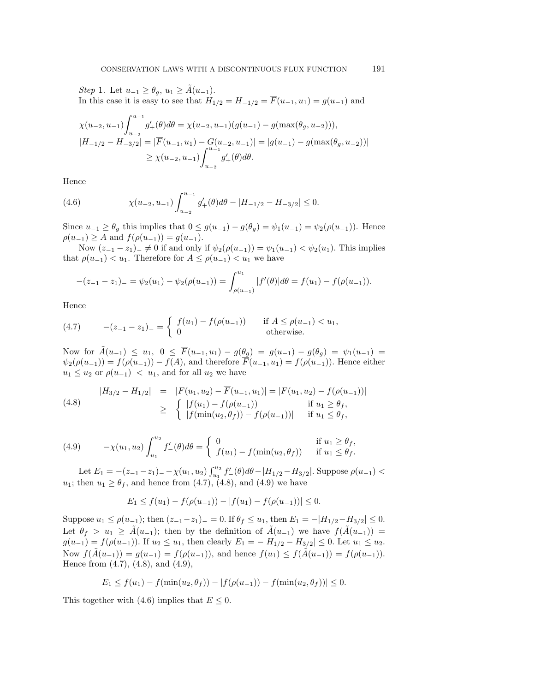Step 1. Let  $u_{-1} \geq \theta_g$ ,  $u_1 \geq \tilde{A}(u_{-1})$ . In this case it is easy to see that  $H_{1/2} = H_{-1/2} = \overline{F}(u_{-1}, u_1) = g(u_{-1})$  and

$$
\chi(u_{-2}, u_{-1}) \int_{u_{-2}}^{u_{-1}} g'_{+}(\theta) d\theta = \chi(u_{-2}, u_{-1}) (g(u_{-1}) - g(\max(\theta_g, u_{-2}))),
$$
  
\n
$$
|H_{-1/2} - H_{-3/2}| = |\overline{F}(u_{-1}, u_1) - G(u_{-2}, u_{-1})| = |g(u_{-1}) - g(\max(\theta_g, u_{-2}))|
$$
  
\n
$$
\geq \chi(u_{-2}, u_{-1}) \int_{u_{-2}}^{u_{-1}} g'_{+}(\theta) d\theta.
$$

Hence

(4.6) 
$$
\chi(u_{-2}, u_{-1}) \int_{u_{-2}}^{u_{-1}} g'_{+}(\theta) d\theta - |H_{-1/2} - H_{-3/2}| \leq 0.
$$

Since  $u_{-1} \ge \theta_g$  this implies that  $0 \le g(u_{-1}) - g(\theta_g) = \psi_1(u_{-1}) = \psi_2(\rho(u_{-1}))$ . Hence  $\rho(u_{-1}) \geq A$  and  $f(\rho(u_{-1})) = g(u_{-1}).$ 

Now  $(z_{-1} - z_1)_- \neq 0$  if and only if  $\psi_2(\rho(u_{-1})) = \psi_1(u_{-1}) < \psi_2(u_1)$ . This implies that  $\rho(u_{-1}) < u_1$ . Therefore for  $A \leq \rho(u_{-1}) < u_1$  we have

$$
-(z_{-1}-z_{1})_{-}=\psi_{2}(u_{1})-\psi_{2}(\rho(u_{-1}))=\int_{\rho(u_{-1})}^{u_{1}}|f'(\theta)|d\theta=f(u_{1})-f(\rho(u_{-1})).
$$

Hence

(4.7) 
$$
-(z_{-1}-z_1)_{-} = \begin{cases} f(u_1) - f(\rho(u_{-1})) & \text{if } A \le \rho(u_{-1}) < u_1, \\ 0 & \text{otherwise.} \end{cases}
$$

Now for  $\tilde{A}(u_{-1}) \leq u_1, 0 \leq \overline{F}(u_{-1}, u_1) - g(\underline{\theta_g}) = g(u_{-1}) - g(\theta_g) = \psi_1(u_{-1}) =$  $\psi_2(\rho(u_{-1})) = f(\rho(u_{-1})) - f(A)$ , and therefore  $\overline{F}(u_{-1}, u_1) = f(\rho(u_{-1}))$ . Hence either  $u_1 \leq u_2$  or  $\rho(u_{-1}) < u_1$ , and for all  $u_2$  we have

(4.8) 
$$
|H_{3/2} - H_{1/2}| = |F(u_1, u_2) - \overline{F}(u_{-1}, u_1)| = |F(u_1, u_2) - f(\rho(u_{-1}))|
$$
  
\n
$$
\geq \begin{cases} |f(u_1) - f(\rho(u_{-1}))| & \text{if } u_1 \geq \theta_f, \\ |f(\min(u_2, \theta_f)) - f(\rho(u_{-1}))| & \text{if } u_1 \leq \theta_f, \end{cases}
$$

(4.9) 
$$
-\chi(u_1, u_2) \int_{u_1}^{u_2} f'_{-}(\theta) d\theta = \begin{cases} 0 & \text{if } u_1 \ge \theta_f, \\ f(u_1) - f(\min(u_2, \theta_f)) & \text{if } u_1 \le \theta_f. \end{cases}
$$

Let  $E_1 = -(z_{-1} - z_1)$   $- \chi(u_1, u_2) \int_{u_1}^{u_2} f'_{-}(\theta) d\theta$   $- |H_{1/2} - H_{3/2}|$ . Suppose  $\rho(u_{-1})$  <  $u_1$ ; then  $u_1 \geq \theta_f$ , and hence from (4.7), (4.8), and (4.9) we have

$$
E_1 \le f(u_1) - f(\rho(u_{-1})) - |f(u_1) - f(\rho(u_{-1}))| \le 0.
$$

Suppose  $u_1 \le \rho(u_{-1})$ ; then  $(z_{-1}-z_1)$  = 0. If  $\theta_f \le u_1$ , then  $E_1 = -|H_{1/2}-H_{3/2}| \le 0$ . Let  $\theta_f > u_1 \geq \tilde{A}(u_{-1})$ ; then by the definition of  $\tilde{A}(u_{-1})$  we have  $f(\tilde{A}(u_{-1})) =$  $g(u_{-1}) = f(\rho(u_{-1}))$ . If  $u_2 \leq u_1$ , then clearly  $E_1 = -|H_{1/2} - H_{3/2}| \leq 0$ . Let  $u_1 \leq u_2$ . Now  $f(\tilde{A}(u_{-1})) = g(u_{-1}) = f(\rho(u_{-1}))$ , and hence  $f(u_1) \leq f(\tilde{A}(u_{-1})) = f(\rho(u_{-1}))$ . Hence from (4.7), (4.8), and (4.9),

$$
E_1 \le f(u_1) - f(\min(u_2, \theta_f)) - |f(\rho(u_{-1})) - f(\min(u_2, \theta_f))| \le 0.
$$

This together with (4.6) implies that  $E \leq 0$ .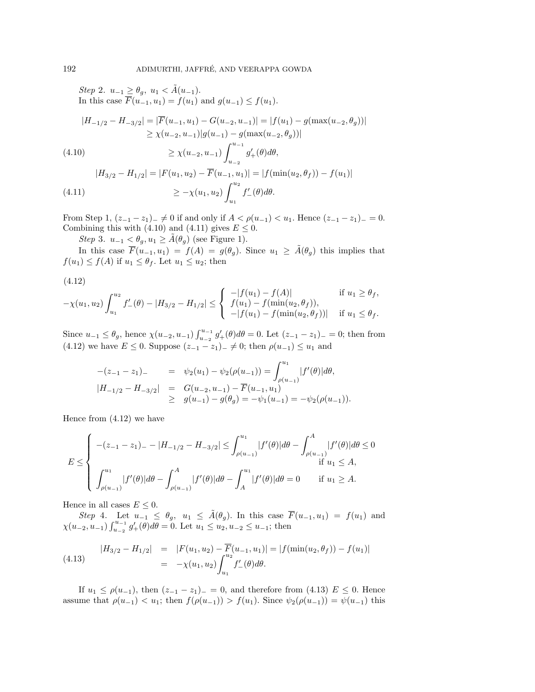Step 2.  $u_{-1} \geq \theta_g$ ,  $u_1 < \tilde{A}(u_{-1})$ . In this case  $F(u_{-1}, u_1) = f(u_1)$  and  $g(u_{-1}) \le f(u_1)$ .

$$
|H_{-1/2} - H_{-3/2}| = |\overline{F}(u_{-1}, u_1) - G(u_{-2}, u_{-1})| = |f(u_1) - g(\max(u_{-2}, \theta_g))|
$$
  
 
$$
\ge \chi(u_{-2}, u_{-1}) |g(u_{-1}) - g(\max(u_{-2}, \theta_g))|
$$

(4.10)  
\n
$$
\geq \chi(u_{-2}, u_{-1}) \int_{u_{-2}}^{u_{-1}} g'_{+}(\theta) d\theta,
$$
\n
$$
|H_{3/2} - H_{1/2}| = |F(u_{1}, u_{2}) - \overline{F}(u_{-1}, u_{1})| = |f(\min(u_{2}, \theta_{f})) - f(u_{1})|
$$
\n
$$
\geq -\chi(u_{1}, u_{2}) \int_{u_{1}}^{u_{2}} f'_{-}(\theta) d\theta.
$$

From Step 1,  $(z_{-1} - z_1)_- \neq 0$  if and only if  $A < \rho(u_{-1}) < u_1$ . Hence  $(z_{-1} - z_1)_- = 0$ . Combining this with (4.10) and (4.11) gives  $E \leq 0$ .

Step 3.  $u_{-1} < \theta_g, u_1 \geq \tilde{A}(\theta_g)$  (see Figure 1).

In this case  $\overline{F}(u_{-1}, u_1) = f(A) = g(\theta_g)$ . Since  $u_1 \geq \tilde{A}(\theta_g)$  this implies that  $f(u_1) \leq f(A)$  if  $u_1 \leq \theta_f$ . Let  $u_1 \leq u_2$ ; then

$$
(4.12)
$$

$$
-\chi(u_1, u_2) \int_{u_1}^{u_2} f'_{-}(\theta) - |H_{3/2} - H_{1/2}| \leq \begin{cases} -|f(u_1) - f(A)| & \text{if } u_1 \geq \theta_f, \\ f(u_1) - f(\min(u_2, \theta_f)), \\ -|f(u_1) - f(\min(u_2, \theta_f))| & \text{if } u_1 \leq \theta_f. \end{cases}
$$

Since  $u_{-1} \leq \theta_g$ , hence  $\chi(u_{-2}, u_{-1}) \int_{u_{-2}}^{u_{-1}} g'_{+}(\theta) d\theta = 0$ . Let  $(z_{-1} - z_1)_{-} = 0$ ; then from (4.12) we have  $E \le 0$ . Suppose  $(z_{-1} - z_1)_- \ne 0$ ; then  $\rho(u_{-1}) \le u_1$  and

$$
\begin{array}{rcl}\n-(z_{-1}-z_1)_{-} & = & \psi_2(u_1) - \psi_2(\rho(u_{-1})) = \int_{\rho(u_{-1})}^{u_1} |f'(\theta)| d\theta, \\
|H_{-1/2} - H_{-3/2}| & = & G(u_{-2}, u_{-1}) - \overline{F}(u_{-1}, u_1) \\
& \geq & g(u_{-1}) - g(\theta_g) = -\psi_1(u_{-1}) = -\psi_2(\rho(u_{-1})).\n\end{array}
$$

Hence from (4.12) we have

$$
E \leq \begin{cases}\n-(z_{-1}-z_{1})_{-} - |H_{-1/2} - H_{-3/2}| \leq \int_{\rho(u_{-1})}^{u_{1}} |f'(\theta)| d\theta - \int_{\rho(u_{-1})}^{A} |f'(\theta)| d\theta \leq 0 \\
\int_{\rho(u_{-1})}^{u_{1}} |f'(\theta)| d\theta - \int_{\rho(u_{-1})}^{A} |f'(\theta)| d\theta - \int_{A}^{u_{1}} |f'(\theta)| d\theta = 0 & \text{if } u_{1} \geq A.\n\end{cases}
$$

Hence in all cases  $E \leq 0$ .

Step 4. Let  $u_{-1} \leq \theta_g$ ,  $u_1 \leq \tilde{A}(\theta_g)$ . In this case  $\overline{F}(u_{-1}, u_1) = f(u_1)$  and  $\chi(u_{-2}, u_{-1}) \int_{u_{-2}}^{u_{-1}} g'_{+}(\theta) d\theta = 0$ . Let  $u_1 \le u_2, u_{-2} \le u_{-1}$ ; then

(4.13) 
$$
\begin{aligned}\n|H_{3/2} - H_{1/2}| &= |F(u_1, u_2) - \overline{F}(u_{-1}, u_1)| = |f(\min(u_2, \theta_f)) - f(u_1)| \\
&= -\chi(u_1, u_2) \int_{u_1}^{u_2} f'_{-}(\theta) d\theta.\n\end{aligned}
$$

If  $u_1 \text{ ≤ } \rho(u_{-1})$ , then  $(z_{-1} - z_1)_{-} = 0$ , and therefore from (4.13)  $E \text{ ≤ } 0$ . Hence assume that  $\rho(u_{-1}) < u_1$ ; then  $f(\rho(u_{-1})) > f(u_1)$ . Since  $\psi_2(\rho(u_{-1})) = \psi(u_{-1})$  this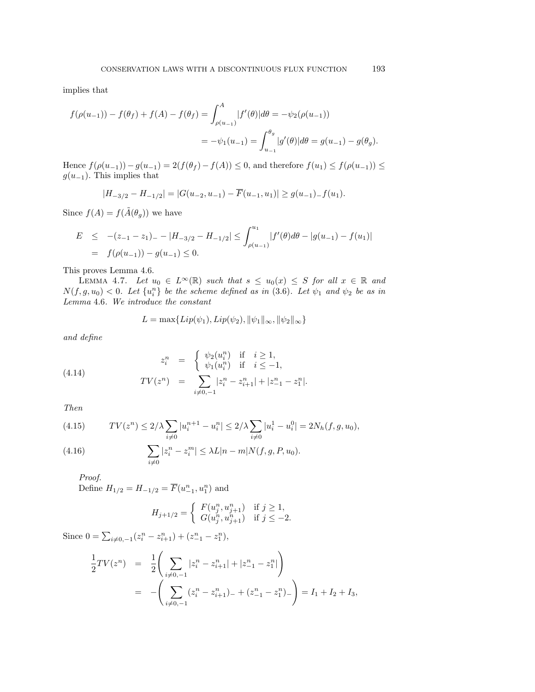implies that

$$
f(\rho(u_{-1})) - f(\theta_f) + f(A) - f(\theta_f) = \int_{\rho(u_{-1})}^{A} |f'(\theta)| d\theta = -\psi_2(\rho(u_{-1}))
$$
  
=  $-\psi_1(u_{-1}) = \int_{u_{-1}}^{\theta_g} |g'(\theta)| d\theta = g(u_{-1}) - g(\theta_g).$ 

Hence  $f(\rho(u_{-1})) - g(u_{-1}) = 2(f(\theta_f) - f(A)) \leq 0$ , and therefore  $f(u_1) \leq f(\rho(u_{-1})) \leq$  $g(u_{-1})$ . This implies that

$$
|H_{-3/2} - H_{-1/2}| = |G(u_{-2}, u_{-1}) - \overline{F}(u_{-1}, u_1)| \ge g(u_{-1}) - f(u_1).
$$

Since  $f(A) = f(\tilde{A}(\theta_q))$  we have

$$
E \le -(z_{-1} - z_1)_{-} - |H_{-3/2} - H_{-1/2}| \le \int_{\rho(u_{-1})}^{u_1} |f'(\theta)d\theta - |g(u_{-1}) - f(u_1)|
$$
  
=  $f(\rho(u_{-1})) - g(u_{-1}) \le 0.$ 

This proves Lemma 4.6.

LEMMA 4.7. Let  $u_0 \in L^{\infty}(\mathbb{R})$  such that  $s \leq u_0(x) \leq S$  for all  $x \in \mathbb{R}$  and  $N(f, g, u_0) < 0$ . Let  $\{u_i^n\}$  be the scheme defined as in (3.6). Let  $\psi_1$  and  $\psi_2$  be as in Lemma 4.6. We introduce the constant

$$
L = \max\{Lip(\psi_1), Lip(\psi_2), \|\psi_1\|_{\infty}, \|\psi_2\|_{\infty}\}
$$

and define

(4.14) 
$$
z_i^n = \begin{cases} \psi_2(u_i^n) & \text{if } i \ge 1, \\ \psi_1(u_i^n) & \text{if } i \le -1, \end{cases}
$$

$$
TV(z^n) = \sum_{i \ne 0, -1} |z_i^n - z_{i+1}^n| + |z_{-1}^n - z_1^n|.
$$

Then

(4.15) 
$$
TV(z^n) \le 2/\lambda \sum_{i \neq 0} |u_i^{n+1} - u_i^n| \le 2/\lambda \sum_{i \neq 0} |u_i^1 - u_i^0| = 2N_h(f, g, u_0),
$$
  
(4.16) 
$$
\sum |z^n - z^m| \le \lambda L |v - z| N(f, g, u_0).
$$

(4.16) 
$$
\sum_{i \neq 0} |z_i^n - z_i^m| \leq \lambda L |n - m| N(f, g, P, u_0).
$$

Proof. Define  $H_{1/2} = H_{-1/2} = \overline{F}(u_{-1}^n, u_1^n)$  and

$$
H_{j+1/2} = \begin{cases} F(u_j^n, u_{j+1}^n) & \text{if } j \ge 1, \\ G(u_j^n, u_{j+1}^n) & \text{if } j \le -2. \end{cases}
$$

Since  $0 = \sum_{i \neq 0, -1} (z_i^n - z_{i+1}^n) + (z_{-1}^n - z_1^n)$ ,

$$
\frac{1}{2}TV(z^n) = \frac{1}{2} \left( \sum_{i \neq 0, -1} |z_i^n - z_{i+1}^n| + |z_{-1}^n - z_1^n| \right)
$$
\n
$$
= - \left( \sum_{i \neq 0, -1} (z_i^n - z_{i+1}^n) - (z_{-1}^n - z_1^n) \right) = I_1 + I_2 + I_3,
$$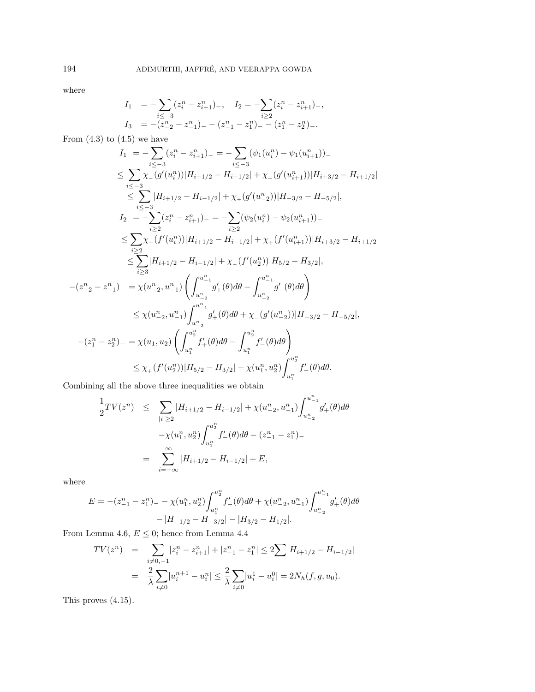where

$$
I_1 = -\sum_{i \le -3} (z_i^n - z_{i+1}^n)_{-}, \quad I_2 = -\sum_{i \ge 2} (z_i^n - z_{i+1}^n)_{-},
$$
  
\n
$$
I_3 = -(z_{-2}^n - z_{-1}^n)_{-} - (z_{-1}^n - z_1^n)_{-} - (z_1^n - z_2^n)_{-}.
$$

From  $(4.3)$  to  $(4.5)$  we have

$$
I_{1} = -\sum_{i \leq -3} (z_{i}^{n} - z_{i+1}^{n})_{-} = -\sum_{i \leq -3} (\psi_{1}(u_{i}^{n}) - \psi_{1}(u_{i+1}^{n}))_{-}
$$
\n
$$
\leq \sum_{i \leq -3} \chi_{-}(g'(u_{i}^{n}))|H_{i+1/2} - H_{i-1/2}| + \chi_{+}(g'(u_{i+1}^{n}))|H_{i+3/2} - H_{i+1/2}|
$$
\n
$$
\leq \sum_{i \leq -3} |H_{i+1/2} - H_{i-1/2}| + \chi_{+}(g'(u_{-2}^{n}))|H_{-3/2} - H_{-5/2}|,
$$
\n
$$
I_{2} = -\sum_{i \geq 2} (z_{i}^{n} - z_{i+1}^{n})_{-} = -\sum_{i \geq 2} (\psi_{2}(u_{i}^{n}) - \psi_{2}(u_{i+1}^{n}))_{-}
$$
\n
$$
\leq \sum_{i \geq 2} \chi_{-}(f'(u_{i}^{n}))|H_{i+1/2} - H_{i-1/2}| + \chi_{+}(f'(u_{i+1}^{n}))|H_{i+3/2} - H_{i+1/2}|
$$
\n
$$
\leq \sum_{i \geq 3} |H_{i+1/2} - H_{i-1/2}| + \chi_{-}(f'(u_{2}^{n}))|H_{5/2} - H_{3/2}|,
$$
\n
$$
-(z_{-2}^{n} - z_{-1}^{n})_{-} = \chi(u_{-2}^{n}, u_{-1}^{n}) \left( \int_{u_{-2}^{n}}^{u_{-1}^{n}} g'_{+}(\theta) d\theta - \int_{u_{-2}^{n}}^{u_{-1}^{n}} g'_{-}(\theta) d\theta \right)
$$
\n
$$
\leq \chi(u_{-2}^{n}, u_{-1}^{n}) \int_{u_{-2}^{n}}^{u_{-1}^{n}} g'_{+}(\theta) d\theta + \chi_{-}(g'(u_{-2}^{n}))|H_{-3/2} - H_{-5/2}|,
$$
\n
$$
-(z_{1}^{n} - z_{2}^{n})_{-} = \chi(u_{1}, u_{2}) \left( \int_{u_{1}^{n}}^{u_{2}^{n}} f'
$$

Combining all the above three inequalities we obtain

$$
\frac{1}{2}TV(z^n) \leq \sum_{|i| \geq 2} |H_{i+1/2} - H_{i-1/2}| + \chi(u_{-2}^n, u_{-1}^n) \int_{u_{-2}^n}^{u_{-1}^n} g'_+(\theta) d\theta
$$

$$
-\chi(u_1^n, u_2^n) \int_{u_1^n}^{u_2^n} f'_-(\theta) d\theta - (z_{-1}^n - z_1^n)_{-}
$$

$$
= \sum_{i=-\infty}^{\infty} |H_{i+1/2} - H_{i-1/2}| + E,
$$

where

$$
E = -(z_{-1}^n - z_1^n)_{-} - \chi(u_1^n, u_2^n) \int_{u_1^n}^{u_2^n} f'_{-}(\theta) d\theta + \chi(u_{-2}^n, u_{-1}^n) \int_{u_{-2}^n}^{u_{-1}^n} g'_{+}(\theta) d\theta
$$

$$
-|H_{-1/2} - H_{-3/2}| - |H_{3/2} - H_{1/2}|.
$$

From Lemma 4.6,  $E\leq 0;$  hence from Lemma 4.4

$$
TV(z^n) = \sum_{i \neq 0, -1} |z_i^n - z_{i+1}^n| + |z_{-1}^n - z_1^n| \le 2 \sum |H_{i+1/2} - H_{i-1/2}|
$$
  

$$
= \frac{2}{\lambda} \sum_{i \neq 0} |u_i^{n+1} - u_i^n| \le \frac{2}{\lambda} \sum_{i \neq 0} |u_i^1 - u_i^0| = 2N_h(f, g, u_0).
$$

This proves (4.15).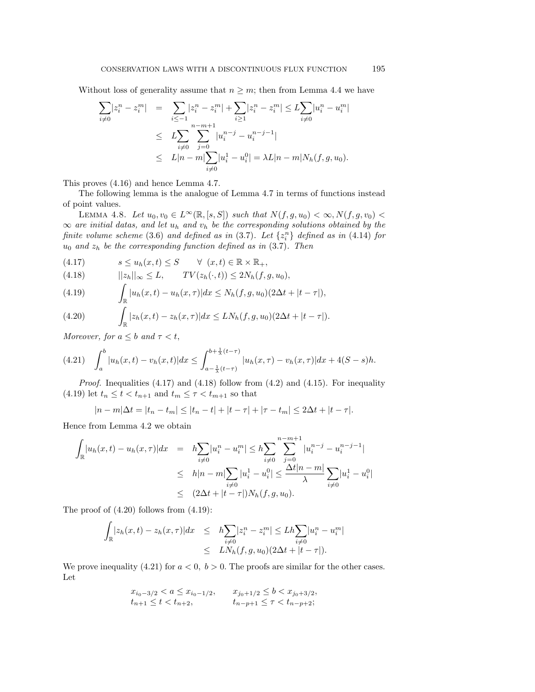Without loss of generality assume that  $n \geq m$ ; then from Lemma 4.4 we have

$$
\sum_{i \neq 0} |z_i^n - z_i^m| = \sum_{i \leq -1} |z_i^n - z_i^m| + \sum_{i \geq 1} |z_i^n - z_i^m| \leq L \sum_{i \neq 0} |u_i^n - u_i^m|
$$
  

$$
\leq L \sum_{i \neq 0} \sum_{j=0}^{n-m+1} |u_i^{n-j} - u_i^{n-j-1}|
$$
  

$$
\leq L|n-m| \sum_{i \neq 0} |u_i^1 - u_i^0| = \lambda L|n-m|N_h(f, g, u_0).
$$

This proves (4.16) and hence Lemma 4.7.

The following lemma is the analogue of Lemma 4.7 in terms of functions instead of point values.

LEMMA 4.8. Let  $u_0, v_0 \in L^{\infty}(\mathbb{R}, [s, S])$  such that  $N(f, g, u_0) < \infty, N(f, g, v_0)$  $\infty$  are initial datas, and let  $u_h$  and  $v_h$  be the corresponding solutions obtained by the finite volume scheme (3.6) and defined as in (3.7). Let  $\{z_i^n\}$  defined as in (4.14) for  $u_0$  and  $z_h$  be the corresponding function defined as in  $(3.7)$ . Then

$$
(4.17) \t s \le u_h(x,t) \le S \t \forall (x,t) \in \mathbb{R} \times \mathbb{R}_+,
$$

$$
(4.18) \t\t | |z_h||_{\infty} \leq L, \t TV(z_h(\cdot,t)) \leq 2N_h(f,g,u_0),
$$

(4.19) 
$$
\int_{\mathbb{R}} |u_h(x,t) - u_h(x,\tau)| dx \leq N_h(f,g,u_0)(2\Delta t + |t-\tau|),
$$

(4.20) 
$$
\int_{\mathbb{R}} |z_h(x,t) - z_h(x,\tau)| dx \leq L N_h(f,g,u_0) (2\Delta t + |t-\tau|).
$$

Moreover, for  $a \leq b$  and  $\tau < t$ ,

$$
(4.21) \quad \int_a^b |u_h(x,t) - v_h(x,t)| dx \le \int_{a - \frac{1}{\lambda}(t-\tau)}^{b + \frac{1}{\lambda}(t-\tau)} |u_h(x,\tau) - v_h(x,\tau)| dx + 4(S - s)h.
$$

*Proof.* Inequalities  $(4.17)$  and  $(4.18)$  follow from  $(4.2)$  and  $(4.15)$ . For inequality (4.19) let  $t_n \leq t < t_{n+1}$  and  $t_m \leq \tau < t_{m+1}$  so that

 $|n - m| \Delta t = |t_n - t_m| \leq |t_n - t| + |t - \tau| + |\tau - t_m| \leq 2\Delta t + |t - \tau|.$ 

Hence from Lemma 4.2 we obtain

$$
\int_{\mathbb{R}} |u_h(x,t) - u_h(x,\tau)| dx = h \sum_{i \neq 0} |u_i^n - u_i^m| \le h \sum_{i \neq 0} \sum_{j=0}^{n-m+1} |u_i^{n-j} - u_i^{n-j-1}|
$$
  
\n
$$
\le h|n-m| \sum_{i \neq 0} |u_i^1 - u_i^0| \le \frac{\Delta t |n-m|}{\lambda} \sum_{i \neq 0} |u_i^1 - u_i^0|
$$
  
\n
$$
\le (2\Delta t + |t-\tau|) N_h(f, g, u_0).
$$

The proof of  $(4.20)$  follows from  $(4.19)$ :

$$
\int_{\mathbb{R}} |z_h(x,t) - z_h(x,\tau)| dx \leq h \sum_{\substack{i \neq 0 \\ i \neq 0}} |z_i^n - z_i^m| \leq L h \sum_{i \neq 0} |u_i^n - u_i^m|
$$
  

$$
\leq L N_h(f,g,u_0) (2\Delta t + |t - \tau|).
$$

We prove inequality (4.21) for  $a < 0$ ,  $b > 0$ . The proofs are similar for the other cases. Let

$$
x_{i_0-3/2} < a \le x_{i_0-1/2}, \qquad x_{j_0+1/2} \le b < x_{j_0+3/2},
$$
  
\n
$$
t_{n+1} \le t < t_{n+2}, \qquad t_{n-p+1} \le \tau < t_{n-p+2};
$$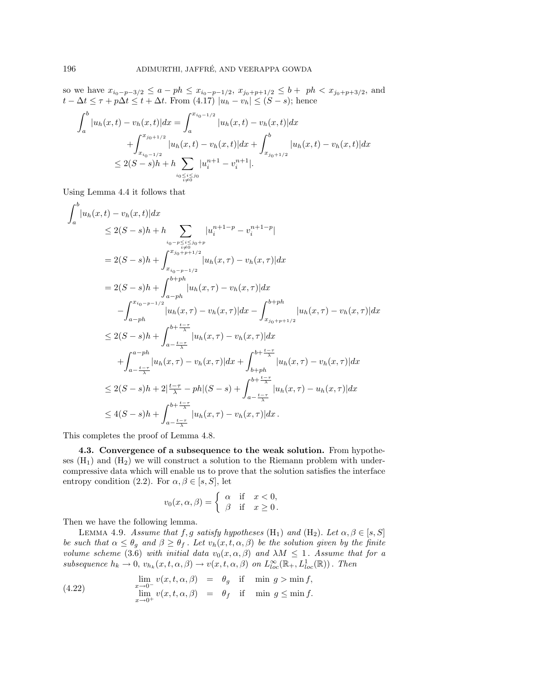so we have  $x_{i_0-p-3/2} \le a - ph \le x_{i_0-p-1/2}, x_{j_0+p+1/2} \le b + ph < x_{j_0+p+3/2}$ , and  $t - \Delta t \leq \tau + p\Delta t \leq t + \Delta t$ . From  $(4.17) |u_h - v_h| \leq (S - s)$ ; hence

$$
\int_{a}^{b} |u_{h}(x,t) - v_{h}(x,t)| dx = \int_{a}^{x_{i_{0}-1/2}} |u_{h}(x,t) - v_{h}(x,t)| dx
$$
  
+ 
$$
\int_{x_{i_{0}-1/2}}^{x_{j_{0}+1/2}} |u_{h}(x,t) - v_{h}(x,t)| dx + \int_{x_{j_{0}+1/2}}^{b} |u_{h}(x,t) - v_{h}(x,t)| dx
$$
  

$$
\leq 2(S - s)h + h \sum_{\substack{i_{0} \leq i \leq j_{0} \\ i \neq 0}} |u_{i}^{n+1} - v_{i}^{n+1}|.
$$

Using Lemma 4.4 it follows that

$$
\int_{a}^{b} |u_{h}(x,t) - v_{h}(x,t)| dx
$$
\n
$$
\leq 2(S-s)h + h \sum_{\substack{i_{0} - p \leq i \leq j_{0} + p \\ i \neq j_{0} + p + 1/2}} |u_{h}^{n+1-p} - v_{i}^{n+1-p}|
$$
\n
$$
= 2(S-s)h + \int_{x_{i_{0} - p - 1/2}}^{x_{j_{0} + p + 1/2}} |u_{h}(x,\tau) - v_{h}(x,\tau)| dx
$$
\n
$$
= 2(S-s)h + \int_{a - ph}^{b + ph} |u_{h}(x,\tau) - v_{h}(x,\tau)| dx
$$
\n
$$
- \int_{a - ph}^{x_{i_{0} - p - 1/2}} |u_{h}(x,\tau) - v_{h}(x,\tau)| dx - \int_{x_{j_{0} + p + 1/2}}^{b + ph} |u_{h}(x,\tau) - v_{h}(x,\tau)| dx
$$
\n
$$
\leq 2(S-s)h + \int_{a - \frac{t - \tau}{\lambda}}^{b + \frac{t - \tau}{\lambda}} |u_{h}(x,\tau) - v_{h}(x,\tau)| dx
$$
\n
$$
+ \int_{a - \frac{t - \tau}{\lambda}}^{a - ph} |u_{h}(x,\tau) - v_{h}(x,\tau)| dx + \int_{b + ph}^{b + \frac{t - \tau}{\lambda}} |u_{h}(x,\tau) - v_{h}(x,\tau)| dx
$$
\n
$$
\leq 2(S-s)h + 2|\frac{t - \tau}{\lambda} - ph|(S-s) + \int_{a - \frac{t - \tau}{\lambda}}^{b + \frac{t - \tau}{\lambda}} |u_{h}(x,\tau) - u_{h}(x,\tau)| dx
$$
\n
$$
\leq 4(S-s)h + \int_{a - \frac{t - \tau}{\lambda}}^{b + \frac{t - \tau}{\lambda}} |u_{h}(x,\tau) - v_{h}(x,\tau)| dx.
$$

This completes the proof of Lemma 4.8.

**4.3. Convergence of a subsequence to the weak solution.** From hypotheses  $(H_1)$  and  $(H_2)$  we will construct a solution to the Riemann problem with undercompressive data which will enable us to prove that the solution satisfies the interface entropy condition (2.2). For  $\alpha, \beta \in [s, S]$ , let

$$
v_0(x, \alpha, \beta) = \begin{cases} \alpha & \text{if } x < 0, \\ \beta & \text{if } x \ge 0. \end{cases}
$$

Then we have the following lemma.

LEMMA 4.9. Assume that f,g satisfy hypotheses  $(H_1)$  and  $(H_2)$ . Let  $\alpha, \beta \in [s, S]$ be such that  $\alpha \leq \theta_g$  and  $\beta \geq \theta_f$ . Let  $v_h(x, t, \alpha, \beta)$  be the solution given by the finite volume scheme (3.6) with initial data  $v_0(x, \alpha, \beta)$  and  $\lambda M \leq 1$ . Assume that for a subsequence  $h_k \to 0$ ,  $v_{h_k}(x, t, \alpha, \beta) \to v(x, t, \alpha, \beta)$  on  $L^{\infty}_{loc}(\mathbb{R}_+, L^1_{loc}(\mathbb{R}))$ . Then

(4.22) 
$$
\lim_{\substack{x \to 0^- \\ \lim y(x, t, \alpha, \beta) = \theta_f \text{ if } \min g \le \min f, \\ x \to 0^+} v(x, t, \alpha, \beta) = \theta_f \text{ if } \min g \le \min f.
$$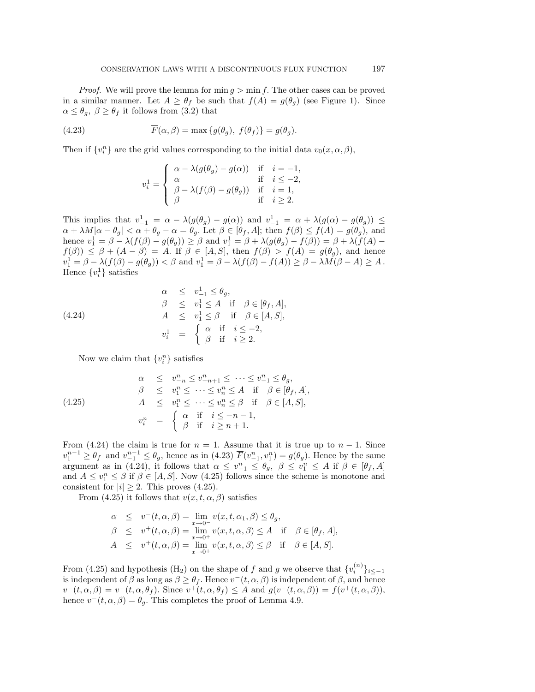*Proof.* We will prove the lemma for  $\min g > \min f$ . The other cases can be proved in a similar manner. Let  $A \geq \theta_f$  be such that  $f(A) = g(\theta_g)$  (see Figure 1). Since  $\alpha \leq \theta_g$ ,  $\beta \geq \theta_f$  it follows from (3.2) that

(4.23) 
$$
\overline{F}(\alpha,\beta) = \max\{g(\theta_g),\ f(\theta_f)\} = g(\theta_g).
$$

Then if  $\{v_i^n\}$  are the grid values corresponding to the initial data  $v_0(x, \alpha, \beta)$ ,

$$
v_i^1 = \begin{cases} \alpha - \lambda(g(\theta_g) - g(\alpha)) & \text{if } i = -1, \\ \alpha & \text{if } i \leq -2, \\ \beta - \lambda(f(\beta) - g(\theta_g)) & \text{if } i = 1, \\ \beta & \text{if } i \geq 2. \end{cases}
$$

This implies that  $v_{-1}^1 = \alpha - \lambda(g(\theta_g) - g(\alpha))$  and  $v_{-1}^1 = \alpha + \lambda(g(\alpha) - g(\theta_g)) \leq$  $\alpha + \lambda M|\alpha - \theta_g| < \alpha + \theta_g - \alpha = \theta_g$ . Let  $\beta \in [\theta_f, A]$ ; then  $f(\beta) \le f(A) = g(\theta_g)$ , and hence  $v_1^1 = \beta - \lambda(f(\beta) - g(\theta_g)) \ge \beta$  and  $v_1^1 = \beta + \lambda(g(\theta_g) - f(\beta)) = \beta + \lambda(f(A) - g(\theta_g))$  $f(\beta)$ )  $\leq \beta + (A - \beta) = A$ . If  $\beta \in [A, S]$ , then  $f(\beta) > f(A) = g(\theta_g)$ , and hence  $v_1^1 = \beta - \lambda(f(\beta) - g(\theta_g)) < \beta$  and  $v_1^1 = \beta - \lambda(f(\beta) - f(A)) \geq \beta - \lambda M(\beta - A) \geq A$ . Hence  $\{v_i^1\}$  satisfies

(4.24)  
\n
$$
\alpha \leq v_{-1}^{1} \leq \theta_{g},
$$
\n
$$
\beta \leq v_{1}^{1} \leq A \text{ if } \beta \in [\theta_{f}, A],
$$
\n
$$
A \leq v_{1}^{1} \leq \beta \text{ if } \beta \in [A, S],
$$
\n
$$
v_{i}^{1} = \begin{cases} \alpha & \text{if } i \leq -2, \\ \beta & \text{if } i \geq 2. \end{cases}
$$

Now we claim that  ${v_i^n}$  satisfies

(4.25) 
$$
\alpha \leq v_{-n}^{n} \leq v_{-n+1}^{n} \leq \cdots \leq v_{-1}^{n} \leq \theta_{g},
$$

$$
\beta \leq v_{1}^{n} \leq \cdots \leq v_{n}^{n} \leq A \text{ if } \beta \in [\theta_{f}, A],
$$

$$
A \leq v_{1}^{n} \leq \cdots \leq v_{n}^{n} \leq \beta \text{ if } \beta \in [A, S],
$$

$$
v_{i}^{n} = \begin{cases} \alpha & \text{if } i \leq -n - 1, \\ \beta & \text{if } i \geq n + 1. \end{cases}
$$

From (4.24) the claim is true for  $n = 1$ . Assume that it is true up to  $n - 1$ . Since  $v_1^{n-1} \ge \theta_f$  and  $v_{-1}^{n-1} \le \theta_g$ , hence as in (4.23)  $\overline{F}(v_{-1}^n, v_1^n) = g(\theta_g)$ . Hence by the same argument as in (4.24), it follows that  $\alpha \leq v_{-1}^n \leq \theta_g$ ,  $\beta \leq v_1^n \leq A$  if  $\beta \in [\theta_f, A]$ and  $A \le v_1^n \le \beta$  if  $\beta \in [A, S]$ . Now (4.25) follows since the scheme is monotone and consistent for  $|i| > 2$ . This proves (4.25).

From (4.25) it follows that  $v(x, t, \alpha, \beta)$  satisfies

$$
\alpha \le v^-(t, \alpha, \beta) = \lim_{x \to 0^-} v(x, t, \alpha_1, \beta) \le \theta_g,
$$
  
\n
$$
\beta \le v^+(t, \alpha, \beta) = \lim_{x \to 0^+} v(x, t, \alpha, \beta) \le A \text{ if } \beta \in [\theta_f, A],
$$
  
\n
$$
A \le v^+(t, \alpha, \beta) = \lim_{x \to 0^+} v(x, t, \alpha, \beta) \le \beta \text{ if } \beta \in [A, S].
$$

From (4.25) and hypothesis (H<sub>2</sub>) on the shape of f and g we observe that  ${v_i^{(n)}}_{i \le -1}$ is independent of  $\beta$  as long as  $\beta \geq \theta_f$ . Hence  $v^-(t, \alpha, \beta)$  is independent of  $\beta$ , and hence  $v^-(t, \alpha, \beta) = v^-(t, \alpha, \theta_f)$ . Since  $v^+(t, \alpha, \theta_f) \leq A$  and  $g(v^-(t, \alpha, \beta)) = f(v^+(t, \alpha, \beta)),$ hence  $v^-(t, \alpha, \beta) = \theta_g$ . This completes the proof of Lemma 4.9.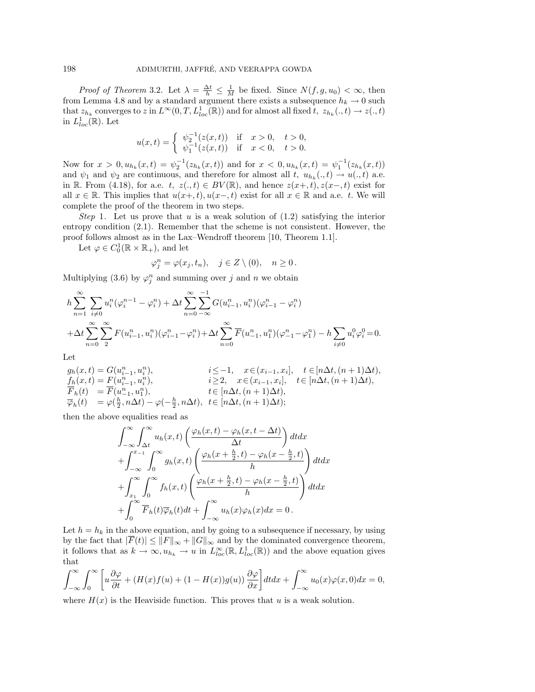*Proof of Theorem* 3.2. Let  $\lambda = \frac{\Delta t}{h} \leq \frac{1}{M}$  be fixed. Since  $N(f, g, u_0) < \infty$ , then from Lemma 4.8 and by a standard argument there exists a subsequence  $h_k \to 0$  such that  $z_{h_k}$  converges to z in  $L^{\infty}(0,T, L^{1}_{loc}(\mathbb{R}))$  and for almost all fixed  $t, z_{h_k}(., t) \rightarrow z(., t)$ in  $L^1_{loc}(\mathbb{R})$ . Let

$$
u(x,t) = \begin{cases} \psi_2^{-1}(z(x,t)) & \text{if } x > 0, \quad t > 0, \\ \psi_1^{-1}(z(x,t)) & \text{if } x < 0, \quad t > 0. \end{cases}
$$

Now for  $x > 0, u_{h_k}(x, t) = \psi_2^{-1}(z_{h_k}(x, t))$  and for  $x < 0, u_{h_k}(x, t) = \psi_1^{-1}(z_{h_k}(x, t))$ and  $\psi_1$  and  $\psi_2$  are continuous, and therefore for almost all t,  $u_{h_k}(., t) \to u(., t)$  a.e. in R. From (4.18), for a.e. t,  $z(., t) \in BV(\mathbb{R})$ , and hence  $z(x+, t)$ ,  $z(x-, t)$  exist for all  $x \in \mathbb{R}$ . This implies that  $u(x+, t), u(x-, t)$  exist for all  $x \in \mathbb{R}$  and a.e. t. We will complete the proof of the theorem in two steps.

Step 1. Let us prove that u is a weak solution of  $(1.2)$  satisfying the interior entropy condition (2.1). Remember that the scheme is not consistent. However, the proof follows almost as in the Lax–Wendroff theorem [10, Theorem 1.1].

Let  $\varphi \in C_0^1(\mathbb{R} \times \mathbb{R}_+),$  and let

$$
\varphi_j^n = \varphi(x_j, t_n), \quad j \in Z \setminus (0), \quad n \ge 0.
$$

Multiplying (3.6) by  $\varphi_j^n$  and summing over j and n we obtain

$$
h \sum_{n=1}^{\infty} \sum_{i \neq 0} u_i^n (\varphi_i^{n-1} - \varphi_i^n) + \Delta t \sum_{n=0}^{\infty} \sum_{-\infty}^{-1} G(u_{i-1}^n, u_i^n) (\varphi_{i-1}^n - \varphi_i^n)
$$
  
+ 
$$
\Delta t \sum_{n=0}^{\infty} \sum_{2}^{\infty} F(u_{i-1}^n, u_i^n) (\varphi_{i-1}^n - \varphi_i^n) + \Delta t \sum_{n=0}^{\infty} \overline{F}(u_{-1}^n, u_1^n) (\varphi_{-1}^n - \varphi_1^n) - h \sum_{i \neq 0} u_i^0 \varphi_i^0 = 0.
$$

Let

$$
g_h(x,t) = G(u_{i-1}^n, u_i^n), \qquad i \leq -1, \quad x \in (x_{i-1}, x_i], \quad t \in [n\Delta t, (n+1)\Delta t),
$$
  
\n
$$
f_h(x,t) = F(u_{i-1}^n, u_i^n), \qquad i \geq 2, \quad x \in (x_{i-1}, x_i], \quad t \in [n\Delta t, (n+1)\Delta t),
$$
  
\n
$$
\overline{F}_h(t) = \overline{F}(u_{-1}^n, u_1^n), \qquad t \in [n\Delta t, (n+1)\Delta t),
$$
  
\n
$$
\overline{\varphi}_h(t) = \varphi(\frac{h}{2}, n\Delta t) - \varphi(-\frac{h}{2}, n\Delta t), \quad t \in [n\Delta t, (n+1)\Delta t);
$$

then the above equalities read as

$$
\int_{-\infty}^{\infty} \int_{\Delta t}^{\infty} u_h(x,t) \left( \frac{\varphi_h(x,t) - \varphi_h(x,t - \Delta t)}{\Delta t} \right) dt dx + \int_{-\infty}^{x-1} \int_0^{\infty} g_h(x,t) \left( \frac{\varphi_h(x + \frac{h}{2}, t) - \varphi_h(x - \frac{h}{2}, t)}{h} \right) dt dx + \int_{x_1}^{\infty} \int_0^{\infty} f_h(x,t) \left( \frac{\varphi_h(x + \frac{h}{2}, t) - \varphi_h(x - \frac{h}{2}, t)}{h} \right) dt dx + \int_0^{\infty} \overline{F}_h(t) \overline{\varphi}_h(t) dt + \int_{-\infty}^{\infty} u_h(x) \varphi_h(x) dx = 0.
$$

Let  $h = h_k$  in the above equation, and by going to a subsequence if necessary, by using by the fact that  $|\overline{F}(t)| \leq ||F||_{\infty} + ||G||_{\infty}$  and by the dominated convergence theorem, it follows that as  $k \to \infty$ ,  $u_{h_k} \to u$  in  $L^{\infty}_{loc}(\mathbb{R}, L^1_{loc}(\mathbb{R}))$  and the above equation gives that

$$
\int_{-\infty}^{\infty} \int_{0}^{\infty} \left[ u \frac{\partial \varphi}{\partial t} + (H(x)f(u) + (1 - H(x))g(u)) \frac{\partial \varphi}{\partial x} \right] dt dx + \int_{-\infty}^{\infty} u_0(x)\varphi(x,0) dx = 0,
$$

where  $H(x)$  is the Heaviside function. This proves that u is a weak solution.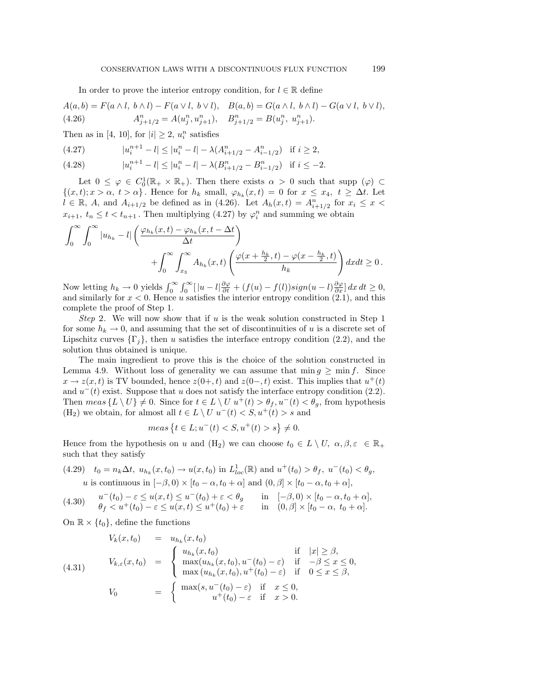In order to prove the interior entropy condition, for  $l \in \mathbb{R}$  define

$$
A(a,b) = F(a \wedge l, b \wedge l) - F(a \vee l, b \vee l), \quad B(a,b) = G(a \wedge l, b \wedge l) - G(a \vee l, b \vee l),
$$
  
(4.26) 
$$
A_{j+1/2}^n = A(u_j^n, u_{j+1}^n), \quad B_{j+1/2}^n = B(u_j^n, u_{j+1}^n).
$$

Then as in [4, 10], for  $|i| \geq 2$ ,  $u_i^n$  satisfies

(4.27) 
$$
|u_i^{n+1} - l| \le |u_i^n - l| - \lambda (A_{i+1/2}^n - A_{i-1/2}^n) \text{ if } i \ge 2,
$$

(4.28) 
$$
|u_i^{n+1} - l| \le |u_i^n - l| - \lambda (B_{i+1/2}^n - B_{i-1/2}^n) \text{ if } i \le -2.
$$

Let  $0 \leq \varphi \in C_0^1(\mathbb{R}_+ \times \mathbb{R}_+)$ . Then there exists  $\alpha > 0$  such that supp  $(\varphi) \subset$  $\{(x, t); x > \alpha, t > \alpha\}$ . Hence for  $h_k$  small,  $\varphi_{h_k}(x, t) = 0$  for  $x \leq x_4, t \geq \Delta t$ . Let  $l \in \mathbb{R}$ , A, and  $A_{i+1/2}$  be defined as in (4.26). Let  $A_h(x,t) = A_{i+1/2}^n$  for  $x_i \leq x$  $x_{i+1}, t_n \leq t < t_{n+1}$ . Then multiplying (4.27) by  $\varphi_i^n$  and summing we obtain

$$
\int_0^\infty \int_0^\infty |u_{h_k} - l| \left( \frac{\varphi_{h_k}(x, t) - \varphi_{h_k}(x, t - \Delta t)}{\Delta t} \right) + \int_0^\infty \int_{x_3}^\infty A_{h_k}(x, t) \left( \frac{\varphi(x + \frac{h_k}{2}, t) - \varphi(x - \frac{h_k}{2}, t)}{h_k} \right) dx dt \ge 0.
$$

Now letting  $h_k \to 0$  yields  $\int_0^\infty \int_0^\infty [ |u - l| \frac{\partial \varphi}{\partial t} + (f(u) - f(l)) sign(u - l) \frac{\partial \varphi}{\partial x} ] dx dt \ge 0$ , and similarly for  $x < 0$ . Hence u satisfies the interior entropy condition  $(2.1)$ , and this complete the proof of Step 1.

Step 2. We will now show that if u is the weak solution constructed in Step 1 for some  $h_k \to 0$ , and assuming that the set of discontinuities of u is a discrete set of Lipschitz curves  $\{\Gamma_j\}$ , then u satisfies the interface entropy condition (2.2), and the solution thus obtained is unique.

The main ingredient to prove this is the choice of the solution constructed in Lemma 4.9. Without loss of generality we can assume that  $\min g \geq \min f$ . Since  $x \to z(x, t)$  is TV bounded, hence  $z(0+, t)$  and  $z(0-, t)$  exist. This implies that  $u^+(t)$ and  $u^-(t)$  exist. Suppose that u does not satisfy the interface entropy condition (2.2). Then  $meas \{ L \setminus U \} \neq 0$ . Since for  $t \in L \setminus U$   $u^+(t) > \theta_f, u^-(t) < \theta_g$ , from hypothesis (H<sub>2</sub>) we obtain, for almost all  $t \in L \setminus U$   $u^-(t) < S, u^+(t) > s$  and

$$
meas \{ t \in L; u^-(t) < S, u^+(t) > s \} \neq 0.
$$

Hence from the hypothesis on u and  $(H_2)$  we can choose  $t_0 \in L \setminus U$ ,  $\alpha, \beta, \varepsilon \in \mathbb{R}_+$ such that they satisfy

(4.29) 
$$
t_0 = n_k \Delta t, u_{h_k}(x, t_0) \rightarrow u(x, t_0)
$$
 in  $L^1_{loc}(\mathbb{R})$  and  $u^+(t_0) > \theta_f$ ,  $u^-(t_0) < \theta_g$ ,  $u$  is continuous in  $[-\beta, 0) \times [t_0 - \alpha, t_0 + \alpha]$  and  $(0, \beta] \times [t_0 - \alpha, t_0 + \alpha]$ ,

$$
(4.30) \quad u^-(t_0) - \varepsilon \le u(x,t) \le u^-(t_0) + \varepsilon < \theta_g \quad \text{in} \quad [-\beta,0) \times [t_0 - \alpha, t_0 + \alpha],
$$
\n
$$
\theta_f < u^+(t_0) - \varepsilon \le u(x,t) \le u^+(t_0) + \varepsilon \quad \text{in} \quad (0,\beta] \times [t_0 - \alpha, t_0 + \alpha].
$$

On  $\mathbb{R} \times \{t_0\}$ , define the functions

(4.31) 
$$
V_{k}(x, t_{0}) = u_{h_{k}}(x, t_{0}) \text{ if } |x| \geq \beta,
$$

$$
V_{k, \varepsilon}(x, t_{0}) = \begin{cases} u_{h_{k}}(x, t_{0}) & \text{if } |x| \geq \beta, \\ \max(u_{h_{k}}(x, t_{0}), u^{-}(t_{0}) - \varepsilon) & \text{if } -\beta \leq x \leq 0, \\ \max(u_{h_{k}}(x, t_{0}), u^{+}(t_{0}) - \varepsilon) & \text{if } 0 \leq x \leq \beta, \end{cases}
$$

$$
V_{0} = \begin{cases} \max(s, u^{-}(t_{0}) - \varepsilon) & \text{if } x \leq 0, \\ u^{+}(t_{0}) - \varepsilon & \text{if } x > 0. \end{cases}
$$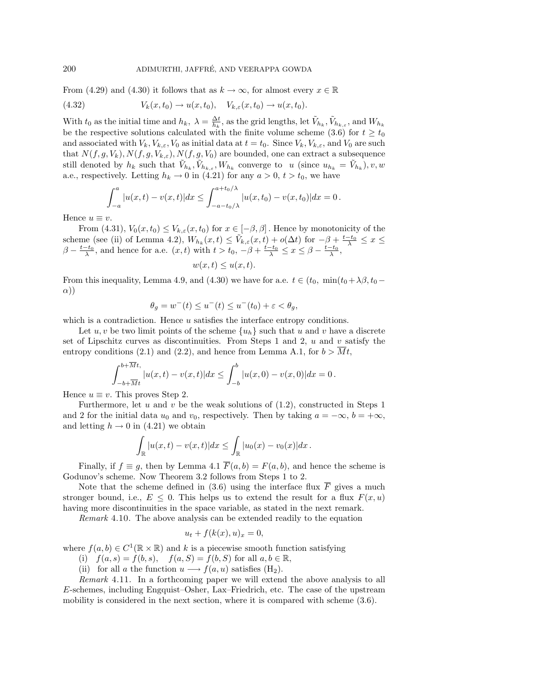From (4.29) and (4.30) it follows that as  $k \to \infty$ , for almost every  $x \in \mathbb{R}$ 

(4.32) 
$$
V_k(x, t_0) \to u(x, t_0), \quad V_{k,\varepsilon}(x, t_0) \to u(x, t_0).
$$

With  $t_0$  as the initial time and  $h_k$ ,  $\lambda = \frac{\Delta t}{h_k}$ , as the grid lengths, let  $\tilde{V}_{h_k}$ ,  $\tilde{V}_{h_k, \varepsilon}$ , and  $W_{h_k}$ be the respective solutions calculated with the finite volume scheme (3.6) for  $t \geq t_0$ and associated with  $V_k$ ,  $V_{k,\varepsilon}$ ,  $V_0$  as initial data at  $t = t_0$ . Since  $V_k$ ,  $V_{k,\varepsilon}$ , and  $V_0$  are such that  $N(f, g, V_k)$ ,  $N(f, g, V_{k,\varepsilon})$ ,  $N(f, g, V_0)$  are bounded, one can extract a subsequence still denoted by  $h_k$  such that  $\tilde{V}_{h_k}, \tilde{V}_{h_k, \varepsilon}, W_{h_k}$  converge to u (since  $u_{h_k} = \tilde{V}_{h_k}$ ), v, w a.e., respectively. Letting  $h_k \to 0$  in (4.21) for any  $a > 0$ ,  $t > t_0$ , we have

$$
\int_{-a}^{a} |u(x,t) - v(x,t)| dx \leq \int_{-a-t_0/\lambda}^{a+t_0/\lambda} |u(x,t_0) - v(x,t_0)| dx = 0.
$$

Hence  $u \equiv v$ .

From (4.31),  $V_0(x,t_0) \leq V_{k,\varepsilon}(x,t_0)$  for  $x \in [-\beta,\beta]$ . Hence by monotonicity of the scheme (see (ii) of Lemma 4.2),  $W_{h_k}(x,t) \leq \tilde{V}_{k,\varepsilon}(x,t) + o(\Delta t)$  for  $-\beta + \frac{t-t_0}{\lambda} \leq x \leq$  $\beta - \frac{t-t_0}{\lambda}$ , and hence for a.e.  $(x, t)$  with  $t > t_0, -\beta + \frac{t-t_0}{\lambda} \le x \le \beta - \frac{t-t_0}{\lambda}$ ,

 $w(x, t) \leq u(x, t).$ 

From this inequality, Lemma 4.9, and (4.30) we have for a.e.  $t \in (t_0, \min(t_0+\lambda)\beta, t_0-\beta)$ α))

$$
\theta_g = w^-(t) \le u^-(t) \le u^-(t_0) + \varepsilon < \theta_g,
$$

which is a contradiction. Hence u satisfies the interface entropy conditions.

Let u, v be two limit points of the scheme  $\{u_h\}$  such that u and v have a discrete set of Lipschitz curves as discontinuities. From Steps 1 and 2,  $u$  and  $v$  satisfy the entropy conditions (2.1) and (2.2), and hence from Lemma A.1, for  $b > \overline{M}t$ ,

$$
\int_{-b+\overline{M}t}^{b+\overline{M}t} |u(x,t) - v(x,t)| dx \leq \int_{-b}^{b} |u(x,0) - v(x,0)| dx = 0.
$$

Hence  $u \equiv v$ . This proves Step 2.

Furthermore, let u and v be the weak solutions of  $(1.2)$ , constructed in Steps 1 and 2 for the initial data  $u_0$  and  $v_0$ , respectively. Then by taking  $a = -\infty$ ,  $b = +\infty$ , and letting  $h \to 0$  in (4.21) we obtain

$$
\int_{\mathbb{R}} |u(x,t) - v(x,t)| dx \leq \int_{\mathbb{R}} |u_0(x) - v_0(x)| dx.
$$

Finally, if  $f \equiv g$ , then by Lemma 4.1  $\overline{F}(a, b) = F(a, b)$ , and hence the scheme is Godunov's scheme. Now Theorem 3.2 follows from Steps 1 to 2.

Note that the scheme defined in (3.6) using the interface flux  $\overline{F}$  gives a much stronger bound, i.e.,  $E \leq 0$ . This helps us to extend the result for a flux  $F(x, u)$ having more discontinuities in the space variable, as stated in the next remark.

Remark 4.10. The above analysis can be extended readily to the equation

$$
u_t + f(k(x), u)_x = 0,
$$

where  $f(a, b) \in C^1(\mathbb{R} \times \mathbb{R})$  and k is a piecewise smooth function satisfying

- (i)  $f(a, s) = f(b, s), \quad f(a, S) = f(b, S)$  for all  $a, b \in \mathbb{R}$ ,
- (ii) for all a the function  $u \longrightarrow f(a, u)$  satisfies  $(H_2)$ .

Remark 4.11. In a forthcoming paper we will extend the above analysis to all E-schemes, including Engquist–Osher, Lax–Friedrich, etc. The case of the upstream mobility is considered in the next section, where it is compared with scheme (3.6).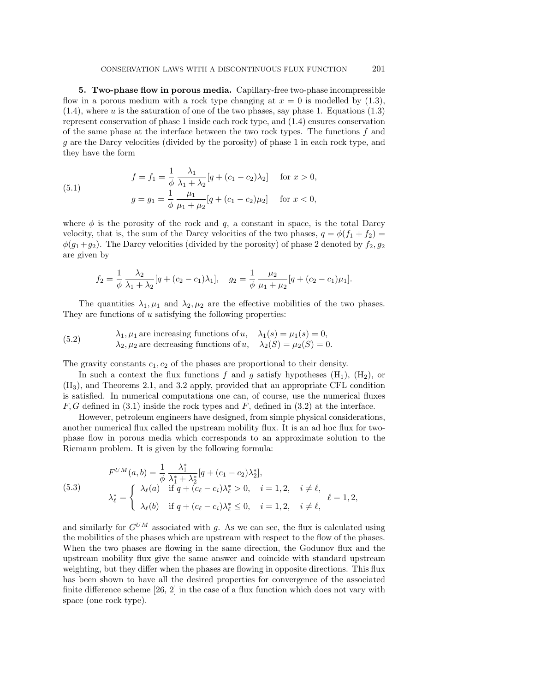**5. Two-phase flow in porous media.** Capillary-free two-phase incompressible flow in a porous medium with a rock type changing at  $x = 0$  is modelled by  $(1.3)$ , (1.4), where u is the saturation of one of the two phases, say phase 1. Equations (1.3) represent conservation of phase 1 inside each rock type, and (1.4) ensures conservation of the same phase at the interface between the two rock types. The functions  $f$  and g are the Darcy velocities (divided by the porosity) of phase 1 in each rock type, and they have the form

(5.1) 
$$
f = f_1 = \frac{1}{\phi} \frac{\lambda_1}{\lambda_1 + \lambda_2} [q + (c_1 - c_2)\lambda_2] \quad \text{for } x > 0,
$$

$$
g = g_1 = \frac{1}{\phi} \frac{\mu_1}{\mu_1 + \mu_2} [q + (c_1 - c_2)\mu_2] \quad \text{for } x < 0,
$$

where  $\phi$  is the porosity of the rock and q, a constant in space, is the total Darcy velocity, that is, the sum of the Darcy velocities of the two phases,  $q = \phi(f_1 + f_2)$  $\phi(g_1+g_2)$ . The Darcy velocities (divided by the porosity) of phase 2 denoted by  $f_2, g_2$ are given by

$$
f_2 = \frac{1}{\phi} \frac{\lambda_2}{\lambda_1 + \lambda_2} [q + (c_2 - c_1)\lambda_1], \quad g_2 = \frac{1}{\phi} \frac{\mu_2}{\mu_1 + \mu_2} [q + (c_2 - c_1)\mu_1].
$$

The quantities  $\lambda_1, \mu_1$  and  $\lambda_2, \mu_2$  are the effective mobilities of the two phases. They are functions of  $u$  satisfying the following properties:

(5.2) 
$$
\lambda_1, \mu_1 \text{ are increasing functions of } u, \quad \lambda_1(s) = \mu_1(s) = 0,
$$

$$
\lambda_2, \mu_2 \text{ are decreasing functions of } u, \quad \lambda_2(S) = \mu_2(S) = 0.
$$

The gravity constants  $c_1, c_2$  of the phases are proportional to their density.

In such a context the flux functions f and g satisfy hypotheses  $(H_1)$ ,  $(H_2)$ , or (H3), and Theorems 2.1, and 3.2 apply, provided that an appropriate CFL condition is satisfied. In numerical computations one can, of course, use the numerical fluxes F, G defined in (3.1) inside the rock types and  $\overline{F}$ , defined in (3.2) at the interface.

However, petroleum engineers have designed, from simple physical considerations, another numerical flux called the upstream mobility flux. It is an ad hoc flux for twophase flow in porous media which corresponds to an approximate solution to the Riemann problem. It is given by the following formula:

(5.3)  

$$
F^{UM}(a, b) = \frac{1}{\phi} \frac{\lambda_1^*}{\lambda_1^* + \lambda_2^*} [q + (c_1 - c_2)\lambda_2^*],
$$

$$
\lambda_{\ell}^* = \begin{cases} \lambda_{\ell}(a) & \text{if } q + (c_{\ell} - c_i)\lambda_{\ell}^* > 0, \quad i = 1, 2, \quad i \neq \ell, \\ \lambda_{\ell}(b) & \text{if } q + (c_{\ell} - c_i)\lambda_{\ell}^* \le 0, \quad i = 1, 2, \quad i \neq \ell, \end{cases} \ell = 1, 2,
$$

and similarly for  $G^{UM}$  associated with g. As we can see, the flux is calculated using the mobilities of the phases which are upstream with respect to the flow of the phases. When the two phases are flowing in the same direction, the Godunov flux and the upstream mobility flux give the same answer and coincide with standard upstream weighting, but they differ when the phases are flowing in opposite directions. This flux has been shown to have all the desired properties for convergence of the associated finite difference scheme [26, 2] in the case of a flux function which does not vary with space (one rock type).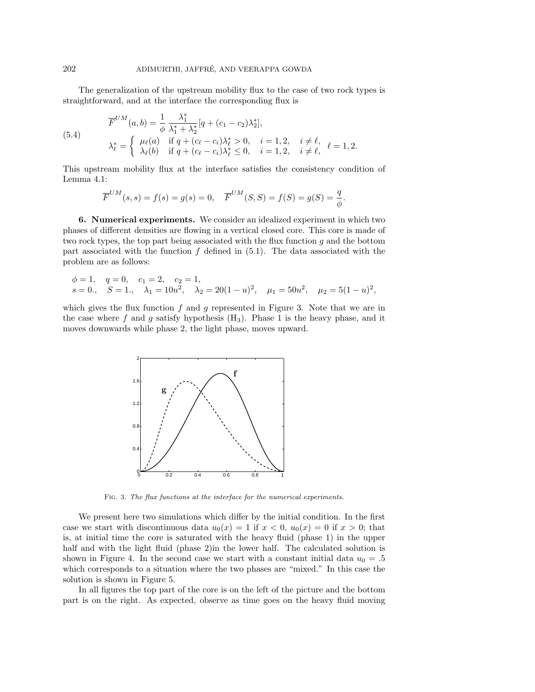The generalization of the upstream mobility flux to the case of two rock types is straightforward, and at the interface the corresponding flux is

(5.4)  
\n
$$
\overline{F}^{UM}(a,b) = \frac{1}{\phi} \frac{\lambda_1^*}{\lambda_1^* + \lambda_2^*} [q + (c_1 - c_2)\lambda_2^*],
$$
\n
$$
\lambda_{\ell}^* = \begin{cases}\n\mu_{\ell}(a) & \text{if } q + (c_{\ell} - c_i)\lambda_{\ell}^* > 0, \quad i = 1, 2, \quad i \neq \ell, \\
\lambda_{\ell}(b) & \text{if } q + (c_{\ell} - c_i)\lambda_{\ell}^* \le 0, \quad i = 1, 2, \quad i \neq \ell,\n\end{cases} \quad \ell = 1, 2.
$$

This upstream mobility flux at the interface satisfies the consistency condition of Lemma 4.1:

$$
\overline{F}^{UM}(s, s) = f(s) = g(s) = 0, \quad \overline{F}^{UM}(S, S) = f(S) = g(S) = \frac{q}{\phi}.
$$

**6. Numerical experiments.** We consider an idealized experiment in which two phases of different densities are flowing in a vertical closed core. This core is made of two rock types, the top part being associated with the flux function  $g$  and the bottom part associated with the function  $f$  defined in  $(5.1)$ . The data associated with the problem are as follows:

$$
\phi = 1
$$
,  $q = 0$ ,  $c_1 = 2$ ,  $c_2 = 1$ ,  
\n $s = 0$ ,  $S = 1$ ,  $\lambda_1 = 10u^2$ ,  $\lambda_2 = 20(1 - u)^2$ ,  $\mu_1 = 50u^2$ ,  $\mu_2 = 5(1 - u)^2$ ,

which gives the flux function  $f$  and  $g$  represented in Figure 3. Note that we are in the case where f and q satisfy hypothesis  $(H_3)$ . Phase 1 is the heavy phase, and it moves downwards while phase 2, the light phase, moves upward.



Fig. 3. The flux functions at the interface for the numerical experiments.

We present here two simulations which differ by the initial condition. In the first case we start with discontinuous data  $u_0(x) = 1$  if  $x < 0$ ,  $u_0(x) = 0$  if  $x > 0$ ; that is, at initial time the core is saturated with the heavy fluid (phase 1) in the upper half and with the light fluid (phase 2) in the lower half. The calculated solution is shown in Figure 4. In the second case we start with a constant initial data  $u_0 = .5$ which corresponds to a situation where the two phases are "mixed." In this case the solution is shown in Figure 5.

In all figures the top part of the core is on the left of the picture and the bottom part is on the right. As expected, observe as time goes on the heavy fluid moving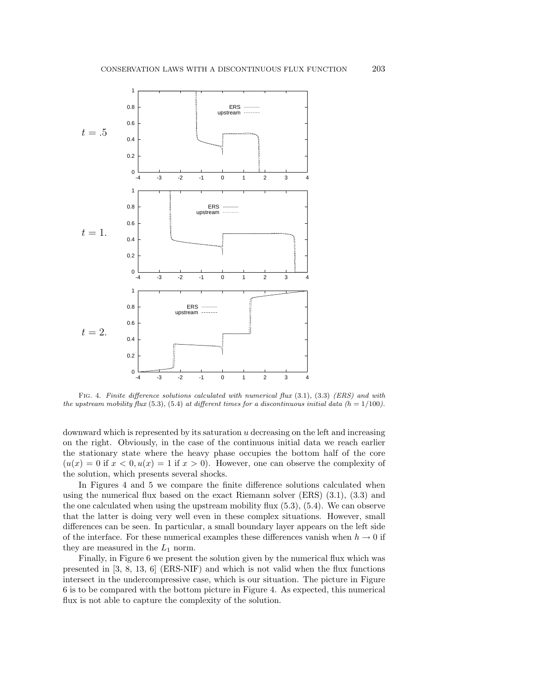

Fig. 4. Finite difference solutions calculated with numerical flux (3.1), (3.3) (ERS) and with the upstream mobility flux (5.3), (5.4) at different times for a discontinuous initial data (h =  $1/100$ ).

downward which is represented by its saturation  $u$  decreasing on the left and increasing on the right. Obviously, in the case of the continuous initial data we reach earlier the stationary state where the heavy phase occupies the bottom half of the core  $(u(x) = 0$  if  $x < 0, u(x) = 1$  if  $x > 0$ . However, one can observe the complexity of the solution, which presents several shocks.

In Figures 4 and 5 we compare the finite difference solutions calculated when using the numerical flux based on the exact Riemann solver (ERS) (3.1), (3.3) and the one calculated when using the upstream mobility flux (5.3), (5.4). We can observe that the latter is doing very well even in these complex situations. However, small differences can be seen. In particular, a small boundary layer appears on the left side of the interface. For these numerical examples these differences vanish when  $h \to 0$  if they are measured in the  $L_1$  norm.

Finally, in Figure 6 we present the solution given by the numerical flux which was presented in  $[3, 8, 13, 6]$  (ERS-NIF) and which is not valid when the flux functions intersect in the undercompressive case, which is our situation. The picture in Figure 6 is to be compared with the bottom picture in Figure 4. As expected, this numerical flux is not able to capture the complexity of the solution.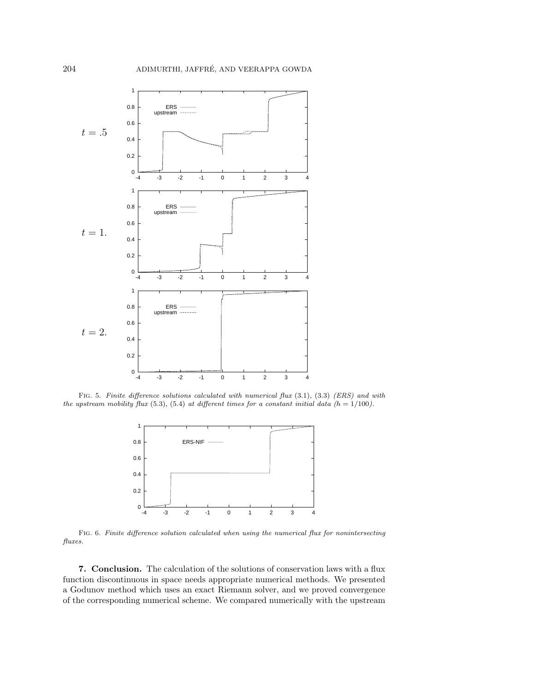

FIG. 5. Finite difference solutions calculated with numerical flux  $(3.1)$ ,  $(3.3)$  (ERS) and with the upstream mobility flux (5.3), (5.4) at different times for a constant initial data ( $h = 1/100$ ).



Fig. 6. Finite difference solution calculated when using the numerical flux for nonintersecting fluxes.

**7. Conclusion.** The calculation of the solutions of conservation laws with a flux function discontinuous in space needs appropriate numerical methods. We presented a Godunov method which uses an exact Riemann solver, and we proved convergence of the corresponding numerical scheme. We compared numerically with the upstream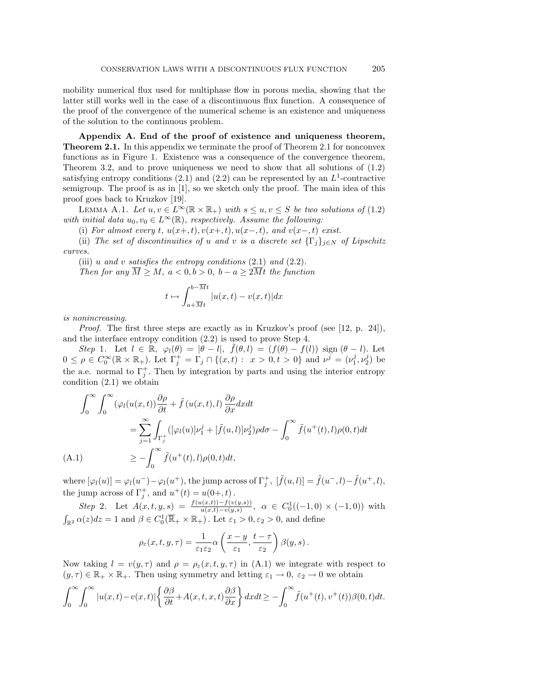mobility numerical flux used for multiphase flow in porous media, showing that the latter still works well in the case of a discontinuous flux function. A consequence of the proof of the convergence of the numerical scheme is an existence and uniqueness of the solution to the continuous problem.

**Appendix A. End of the proof of existence and uniqueness theorem, Theorem 2.1.** In this appendix we terminate the proof of Theorem 2.1 for nonconvex functions as in Figure 1. Existence was a consequence of the convergence theorem, Theorem 3.2, and to prove uniqueness we need to show that all solutions of (1.2) satisfying entropy conditions  $(2.1)$  and  $(2.2)$  can be represented by an  $L^1$ -contractive semigroup. The proof is as in [1], so we sketch only the proof. The main idea of this proof goes back to Kruzkov [19].

LEMMA A.1. Let  $u, v \in L^{\infty}(\mathbb{R} \times \mathbb{R}_{+})$  with  $s \leq u, v \leq S$  be two solutions of (1.2) with initial data  $u_0, v_0 \in L^{\infty}(\mathbb{R})$ , respectively. Assume the following:

(i) For almost every t,  $u(x+, t), v(x+, t), u(x-, t)$ , and  $v(x-, t)$  exist.

(ii) The set of discontinuities of u and v is a discrete set  $\{\Gamma_i\}_{i\in\mathbb{N}}$  of Lipschitz curves.

(iii) u and v satisfies the entropy conditions  $(2.1)$  and  $(2.2)$ .

Then for any  $M \geq M$ ,  $a < 0, b > 0$ ,  $b - a \geq 2Mt$  the function

$$
t \mapsto \int_{a+\overline{M}t}^{b-Mt} |u(x,t) - v(x,t)| dx
$$

is nonincreasing.

*Proof.* The first three steps are exactly as in Kruzkov's proof (see [12, p. 24]), and the interface entropy condition (2.2) is used to prove Step 4.

Step 1. Let  $l \in \mathbb{R}$ ,  $\varphi_l(\theta) = |\theta - l|$ ,  $f(\theta, l) = (f(\theta) - f(l)) \operatorname{sign} (\theta - l)$ . Let  $0 \le \rho \in C_0^{\infty}(\mathbb{R} \times \mathbb{R}_+)$ . Let  $\Gamma_j^+ = \Gamma_j \cap \{(x,t) : x > 0, t > 0\}$  and  $\nu^j = (\nu_1^j, \nu_2^j)$  be the a.e. normal to  $\Gamma_j^+$ . Then by integration by parts and using the interior entropy condition (2.1) we obtain

$$
\int_0^\infty \int_0^\infty (\varphi_l(u(x,t)) \frac{\partial \rho}{\partial t} + \tilde{f}(u(x,t), l) \frac{\partial \rho}{\partial x} dx dt
$$
  
\n
$$
= \sum_{j=1}^\infty \int_{\Gamma_j^+} ([\varphi_l(u)] \nu_1^j + [\tilde{f}(u, l)] \nu_2^j) \rho d\sigma - \int_0^\infty \tilde{f}(u^+(t), l) \rho(0, t) dt
$$
  
\n(A.1) 
$$
\geq -\int_0^\infty \tilde{f}(u^+(t), l) \rho(0, t) dt,
$$

where  $[\varphi_l(u)] = \varphi_l(u^-) - \varphi_l(u^+)$ , the jump across of  $\Gamma^+_j$ ,  $[\tilde{f}(u, l)] = \tilde{f}(u^-, l) - \tilde{f}(u^+, l)$ , the jump across of  $\Gamma_j^+$ , and  $u^+(t) = u(0+, t)$ .

Step 2. Let  $A(x,t,y,s) = \frac{f(u(x,t)) - f(v(y,s))}{u(x,t) - v(y,s)}$ ,  $\alpha \in C_0^1((-1,0) \times (-1,0))$  with  $\int_{\mathbb{R}^2} \alpha(z) dz = 1$  and  $\beta \in C_0^1(\overline{\mathbb{R}}_+ \times \mathbb{R}_+)$ . Let  $\varepsilon_1 > 0, \varepsilon_2 > 0$ , and define

$$
\rho_{\varepsilon}(x,t,y,\tau) = \frac{1}{\varepsilon_1 \varepsilon_2} \alpha\left(\frac{x-y}{\varepsilon_1}, \frac{t-\tau}{\varepsilon_2}\right) \beta(y,s).
$$

Now taking  $l = v(y, \tau)$  and  $\rho = \rho_{\varepsilon}(x, t, y, \tau)$  in (A.1) we integrate with respect to  $(y, \tau) \in \mathbb{R}_+ \times \mathbb{R}_+$ . Then using symmetry and letting  $\varepsilon_1 \to 0$ ,  $\varepsilon_2 \to 0$  we obtain

$$
\int_0^\infty \int_0^\infty |u(x,t) - v(x,t)| \left\{ \frac{\partial \beta}{\partial t} + A(x,t,x,t) \frac{\partial \beta}{\partial x} \right\} dx dt \ge - \int_0^\infty \tilde{f}(u^+(t), v^+(t)) \beta(0,t) dt.
$$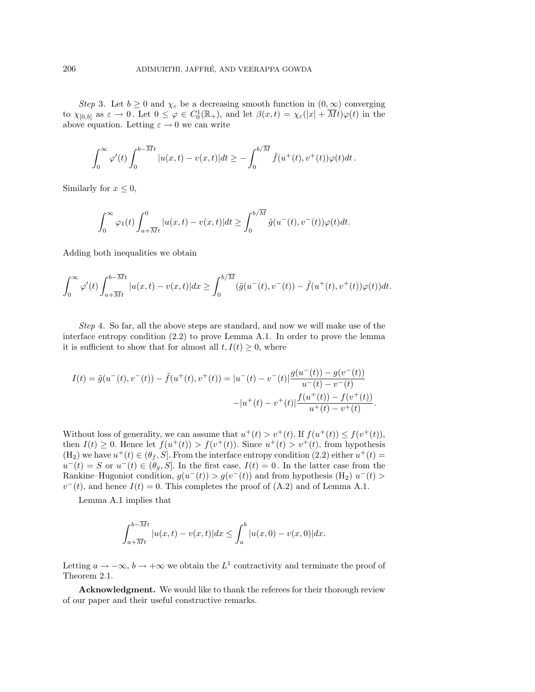Step 3. Let  $b \geq 0$  and  $\chi_{\varepsilon}$  be a decreasing smooth function in  $(0,\infty)$  converging to  $\chi_{[0,b]}$  as  $\varepsilon \to 0$ . Let  $0 \leq \varphi \in C_0^1(\mathbb{R}_+),$  and let  $\beta(x,t) = \chi_{\varepsilon}(|x| + \overline{M}t)\varphi(t)$  in the above equation. Letting  $\varepsilon \to 0$  we can write

$$
\int_0^\infty \varphi'(t) \int_0^{b-\overline{M}t} |u(x,t) - v(x,t)| dt \geq -\int_0^{b/\overline{M}} \tilde{f}(u^+(t), v^+(t))\varphi(t) dt.
$$

Similarly for  $x \leq 0$ ,

$$
\int_0^\infty \varphi_1(t) \int_{a+\overline{M}t}^0 |u(x,t) - v(x,t)| dt \ge \int_0^{b/\overline{M}} \tilde{g}(u^-(t), v^-(t)) \varphi(t) dt.
$$

Adding both inequalities we obtain

$$
\int_0^\infty \varphi'(t) \int_{a+\overline{M}t}^{b-\overline{M}t} |u(x,t) - v(x,t)| dx \ge \int_0^{b/\overline{M}} (\tilde{g}(u^-(t), v^-(t)) - \tilde{f}(u^+(t), v^+(t))\varphi(t)) dt.
$$

Step 4. So far, all the above steps are standard, and now we will make use of the interface entropy condition (2.2) to prove Lemma A.1. In order to prove the lemma it is sufficient to show that for almost all  $t, I(t) \geq 0$ , where

$$
I(t) = \tilde{g}(u^-(t), v^-(t)) - \tilde{f}(u^+(t), v^+(t)) = |u^-(t) - v^-(t)| \frac{g(u^-(t)) - g(v^-(t))}{u^-(t) - v^-(t)} - |u^+(t) - v^+(t)| \frac{f(u^+(t)) - f(v^+(t))}{u^+(t) - v^+(t)}.
$$

Without loss of generality, we can assume that  $u^+(t) > v^+(t)$ . If  $f(u^+(t)) \leq f(v^+(t))$ , then  $I(t) \geq 0$ . Hence let  $f(u^+(t)) > f(v^+(t))$ . Since  $u^+(t) > v^+(t)$ , from hypothesis  $(H_2)$  we have  $u^+(t) \in (\theta_f, S]$ . From the interface entropy condition  $(2.2)$  either  $u^+(t)$  $u^{-}(t) = S$  or  $u^{-}(t) \in (\theta_{g}, S]$ . In the first case,  $I(t) = 0$ . In the latter case from the Rankine–Hugoniot condition,  $g(u^-(t)) > g(v^-(t))$  and from hypothesis (H<sub>2</sub>)  $u^-(t)$  $v^-(t)$ , and hence  $I(t)=0$ . This completes the proof of (A.2) and of Lemma A.1.

Lemma A.1 implies that

$$
\int_{a+\overline{M}t}^{b-\overline{M}t} |u(x,t) - v(x,t)| dx \le \int_{a}^{b} |u(x,0) - v(x,0)| dx.
$$

Letting  $a \to -\infty$ ,  $b \to +\infty$  we obtain the  $L^1$  contractivity and terminate the proof of Theorem 2.1.

**Acknowledgment.** We would like to thank the referees for their thorough review of our paper and their useful constructive remarks.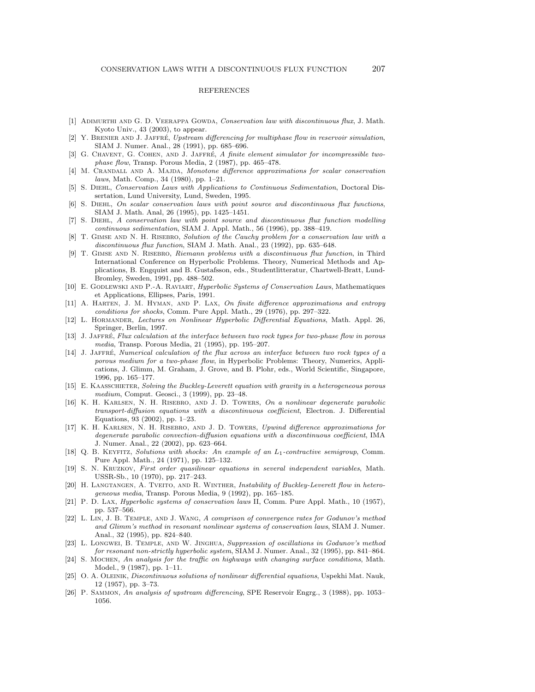## REFERENCES

- [1] ADIMURTHI AND G. D. VEERAPPA GOWDA, Conservation law with discontinuous flux, J. Math. Kyoto Univ., 43 (2003), to appear.
- [2] Y. BRENIER AND J. JAFFRÉ, Upstream differencing for multiphase flow in reservoir simulation, SIAM J. Numer. Anal., 28 (1991), pp. 685–696.
- [3] G. CHAVENT, G. COHEN, AND J. JAFFRÉ, A finite element simulator for incompressible twophase flow, Transp. Porous Media, 2 (1987), pp. 465–478.
- [4] M. CRANDALL AND A. MAJDA, Monotone difference approximations for scalar conservation laws, Math. Comp., 34 (1980), pp. 1–21.
- [5] S. Diehl, Conservation Laws with Applications to Continuous Sedimentation, Doctoral Dissertation, Lund University, Lund, Sweden, 1995.
- [6] S. Diehl, On scalar conservation laws with point source and discontinuous flux functions, SIAM J. Math. Anal, 26 (1995), pp. 1425–1451.
- [7] S. Diehl, A conservation law with point source and discontinuous flux function modelling continuous sedimentation, SIAM J. Appl. Math., 56 (1996), pp. 388–419.
- [8] T. GIMSE AND N. H. RISEBRO, Solution of the Cauchy problem for a conservation law with a discontinuous flux function, SIAM J. Math. Anal., 23 (1992), pp. 635–648.
- [9] T. Gimse and N. Risebro, Riemann problems with a discontinuous flux function, in Third International Conference on Hyperbolic Problems. Theory, Numerical Methods and Applications, B. Engquist and B. Gustafsson, eds., Studentlitteratur, Chartwell-Bratt, Lund-Bromley, Sweden, 1991, pp. 488–502.
- [10] E. GODLEWSKI AND P.-A. RAVIART, *Hyperbolic Systems of Conservation Laws*, Mathematiques et Applications, Ellipses, Paris, 1991.
- [11] A. HARTEN, J. M. HYMAN, AND P. LAX, On finite difference approximations and entropy conditions for shocks, Comm. Pure Appl. Math., 29 (1976), pp. 297–322.
- [12] L. Hormander, Lectures on Nonlinear Hyperbolic Differential Equations, Math. Appl. 26, Springer, Berlin, 1997.
- [13] J. JAFFRÉ, Flux calculation at the interface between two rock types for two-phase flow in porous media, Transp. Porous Media, 21 (1995), pp. 195–207.
- [14] J. JAFFRÉ, Numerical calculation of the flux across an interface between two rock types of a porous medium for a two-phase flow, in Hyperbolic Problems: Theory, Numerics, Applications, J. Glimm, M. Graham, J. Grove, and B. Plohr, eds., World Scientific, Singapore, 1996, pp. 165–177.
- [15] E. KAASSCHIETER, Solving the Buckley-Leverett equation with gravity in a heterogeneous porous medium, Comput. Geosci., 3 (1999), pp. 23–48.
- [16] K. H. Karlsen, N. H. Risebro, and J. D. Towers, On a nonlinear degenerate parabolic transport-diffusion equations with a discontinuous coefficient, Electron. J. Differential Equations, 93 (2002), pp. 1–23.
- [17] K. H. Karlsen, N. H. Risebro, and J. D. Towers, Upwind difference approximations for degenerate parabolic convection-diffusion equations with a discontinuous coefficient, IMA J. Numer. Anal., 22 (2002), pp. 623–664.
- [18] Q. B. KEYFITZ, Solutions with shocks: An example of an  $L_1$ -contractive semigroup, Comm. Pure Appl. Math., 24 (1971), pp. 125–132.
- [19] S. N. Kruzkov, First order quasilinear equations in several independent variables, Math. USSR-Sb., 10 (1970), pp. 217–243.
- [20] H. LANGTANGEN, A. TVEITO, AND R. WINTHER, Instability of Buckley-Leverett flow in heterogeneous media, Transp. Porous Media, 9 (1992), pp. 165–185.
- [21] P. D. Lax, Hyperbolic systems of conservation laws II, Comm. Pure Appl. Math., 10 (1957), pp. 537–566.
- [22] L. Lin, J. B. Temple, and J. Wang, A comprison of convergence rates for Godunov's method and Glimm's method in resonant nonlinear systems of conservation laws, SIAM J. Numer. Anal., 32 (1995), pp. 824–840.
- [23] L. Longwei, B. Temple, and W. Jinghua, Suppression of oscillations in Godunov's method for resonant non-strictly hyperbolic system, SIAM J. Numer. Anal., 32 (1995), pp. 841–864.
- [24] S. Mochen, An analysis for the traffic on highways with changing surface conditions, Math. Model., 9 (1987), pp. 1–11.
- [25] O. A. OLEINIK, Discontinuous solutions of nonlinear differential equations, Uspekhi Mat. Nauk, 12 (1957), pp. 3–73.
- [26] P. Sammon, An analysis of upstream differencing, SPE Reservoir Engrg., 3 (1988), pp. 1053– 1056.